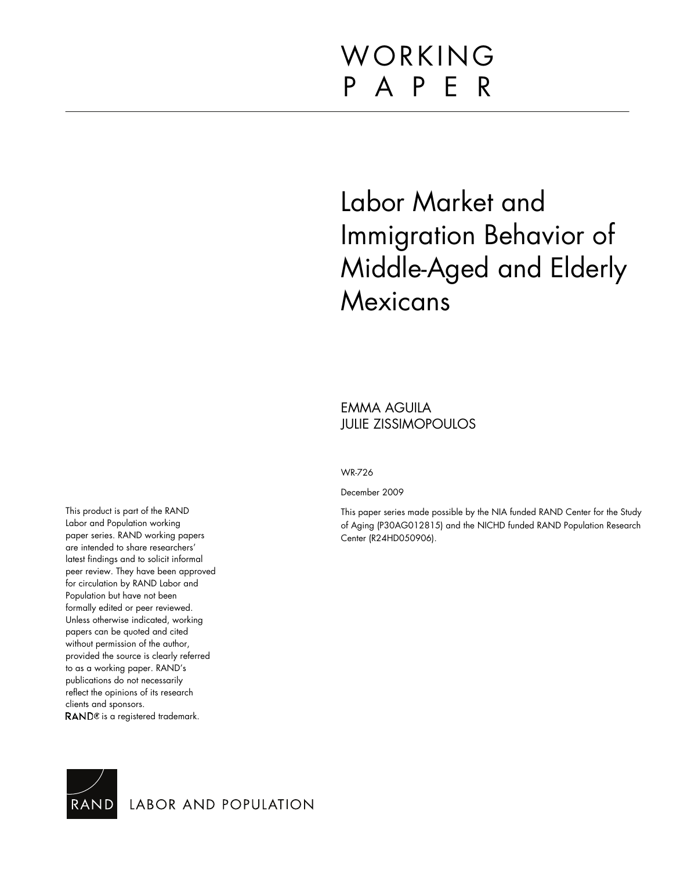# WORKING P A P E R

# Labor Market and Immigration Behavior of Middle-Aged and Elderly **Mexicans**

EMMA AGUILA JULIE ZISSIMOPOULOS

#### WR-726

December 2009

This paper series made possible by the NIA funded RAND Center for the Study of Aging (P30AG012815) and the NICHD funded RAND Population Research Center (R24HD050906).

This product is part of the RAND Labor and Population working paper series. RAND working papers are intended to share researchers' latest findings and to solicit informal peer review. They have been approved for circulation by RAND Labor and Population but have not been formally edited or peer reviewed. Unless otherwise indicated, working papers can be quoted and cited without permission of the author, provided the source is clearly referred to as a working paper. RAND's publications do not necessarily reflect the opinions of its research clients and sponsors. RAND<sup>®</sup> is a registered trademark.



LABOR AND POPULATION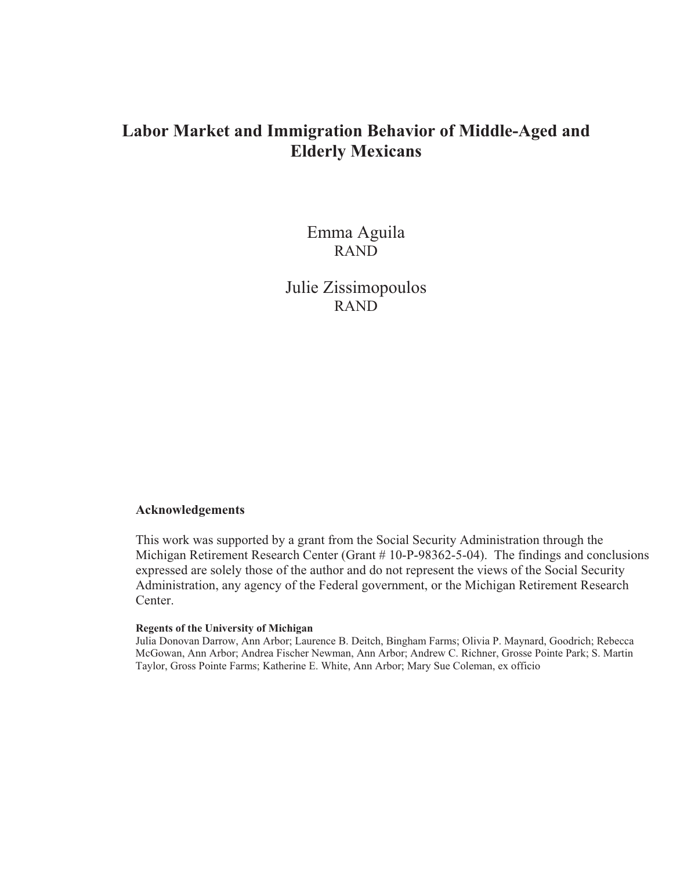# **Labor Market and Immigration Behavior of Middle-Aged and Elderly Mexicans**

Emma Aguila RAND

Julie Zissimopoulos RAND

#### **Acknowledgements**

This work was supported by a grant from the Social Security Administration through the Michigan Retirement Research Center (Grant # 10-P-98362-5-04). The findings and conclusions expressed are solely those of the author and do not represent the views of the Social Security Administration, any agency of the Federal government, or the Michigan Retirement Research Center.

#### **Regents of the University of Michigan**

Julia Donovan Darrow, Ann Arbor; Laurence B. Deitch, Bingham Farms; Olivia P. Maynard, Goodrich; Rebecca McGowan, Ann Arbor; Andrea Fischer Newman, Ann Arbor; Andrew C. Richner, Grosse Pointe Park; S. Martin Taylor, Gross Pointe Farms; Katherine E. White, Ann Arbor; Mary Sue Coleman, ex officio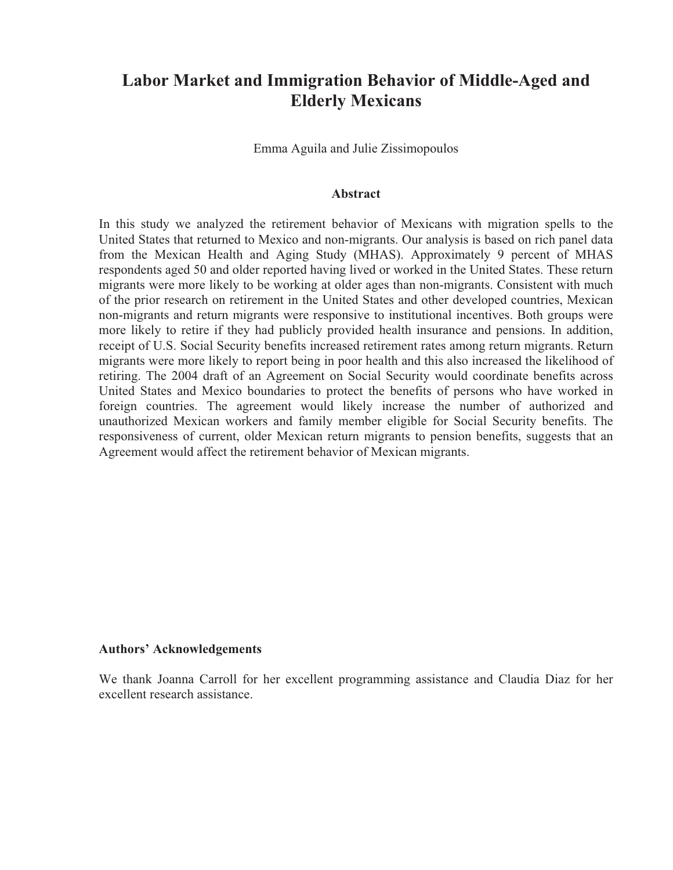# **Labor Market and Immigration Behavior of Middle-Aged and Elderly Mexicans**

Emma Aguila and Julie Zissimopoulos

#### **Abstract**

In this study we analyzed the retirement behavior of Mexicans with migration spells to the United States that returned to Mexico and non-migrants. Our analysis is based on rich panel data from the Mexican Health and Aging Study (MHAS). Approximately 9 percent of MHAS respondents aged 50 and older reported having lived or worked in the United States. These return migrants were more likely to be working at older ages than non-migrants. Consistent with much of the prior research on retirement in the United States and other developed countries, Mexican non-migrants and return migrants were responsive to institutional incentives. Both groups were more likely to retire if they had publicly provided health insurance and pensions. In addition, receipt of U.S. Social Security benefits increased retirement rates among return migrants. Return migrants were more likely to report being in poor health and this also increased the likelihood of retiring. The 2004 draft of an Agreement on Social Security would coordinate benefits across United States and Mexico boundaries to protect the benefits of persons who have worked in foreign countries. The agreement would likely increase the number of authorized and unauthorized Mexican workers and family member eligible for Social Security benefits. The responsiveness of current, older Mexican return migrants to pension benefits, suggests that an Agreement would affect the retirement behavior of Mexican migrants.

#### **Authors' Acknowledgements**

We thank Joanna Carroll for her excellent programming assistance and Claudia Diaz for her excellent research assistance.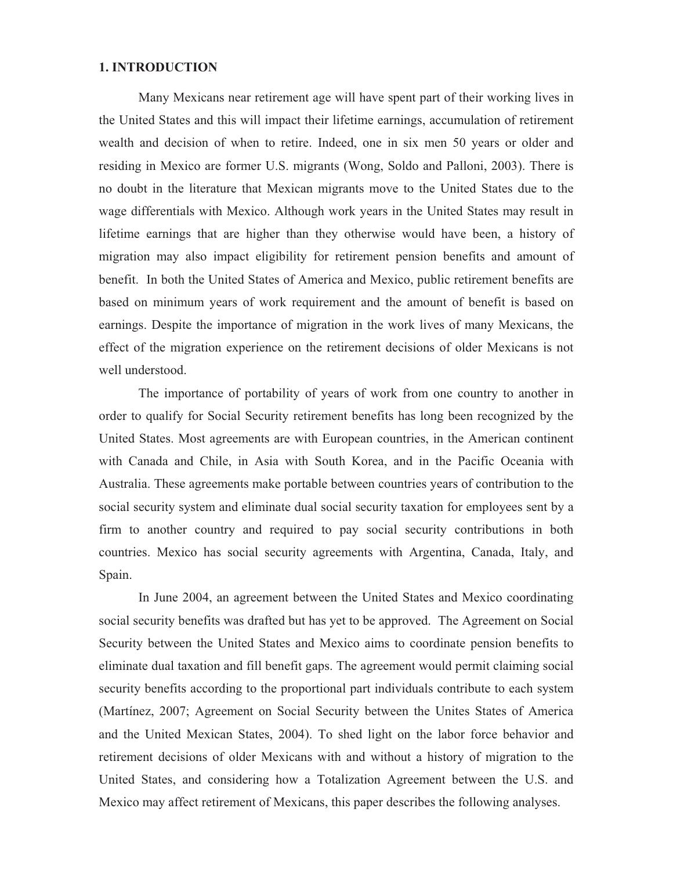#### **1. INTRODUCTION**

Many Mexicans near retirement age will have spent part of their working lives in the United States and this will impact their lifetime earnings, accumulation of retirement wealth and decision of when to retire. Indeed, one in six men 50 years or older and residing in Mexico are former U.S. migrants (Wong, Soldo and Palloni, 2003). There is no doubt in the literature that Mexican migrants move to the United States due to the wage differentials with Mexico. Although work years in the United States may result in lifetime earnings that are higher than they otherwise would have been, a history of migration may also impact eligibility for retirement pension benefits and amount of benefit. In both the United States of America and Mexico, public retirement benefits are based on minimum years of work requirement and the amount of benefit is based on earnings. Despite the importance of migration in the work lives of many Mexicans, the effect of the migration experience on the retirement decisions of older Mexicans is not well understood.

The importance of portability of years of work from one country to another in order to qualify for Social Security retirement benefits has long been recognized by the United States. Most agreements are with European countries, in the American continent with Canada and Chile, in Asia with South Korea, and in the Pacific Oceania with Australia. These agreements make portable between countries years of contribution to the social security system and eliminate dual social security taxation for employees sent by a firm to another country and required to pay social security contributions in both countries. Mexico has social security agreements with Argentina, Canada, Italy, and Spain.

In June 2004, an agreement between the United States and Mexico coordinating social security benefits was drafted but has yet to be approved. The Agreement on Social Security between the United States and Mexico aims to coordinate pension benefits to eliminate dual taxation and fill benefit gaps. The agreement would permit claiming social security benefits according to the proportional part individuals contribute to each system (Martínez, 2007; Agreement on Social Security between the Unites States of America and the United Mexican States, 2004). To shed light on the labor force behavior and retirement decisions of older Mexicans with and without a history of migration to the United States, and considering how a Totalization Agreement between the U.S. and Mexico may affect retirement of Mexicans, this paper describes the following analyses.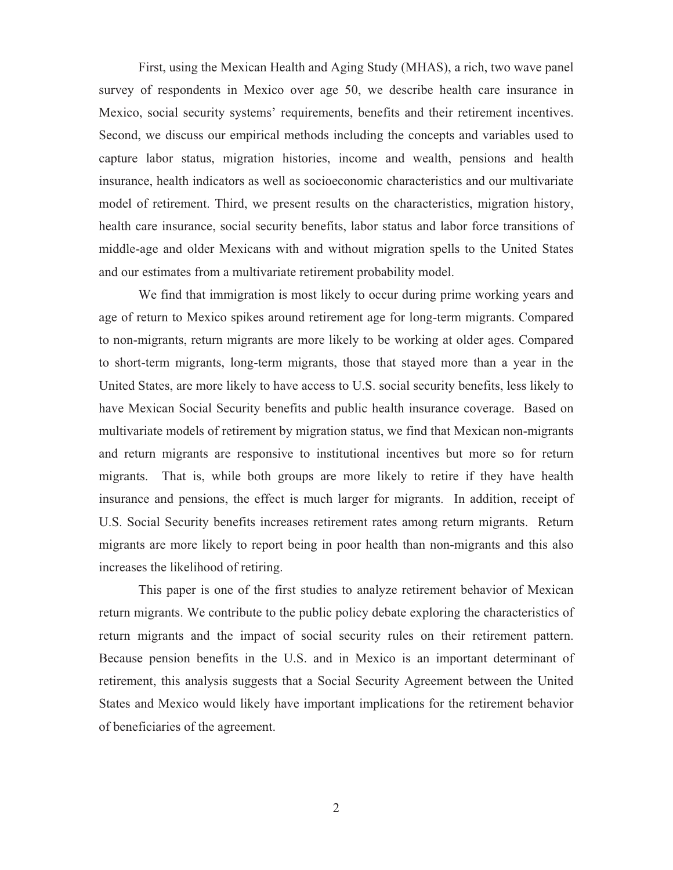First, using the Mexican Health and Aging Study (MHAS), a rich, two wave panel survey of respondents in Mexico over age 50, we describe health care insurance in Mexico, social security systems' requirements, benefits and their retirement incentives. Second, we discuss our empirical methods including the concepts and variables used to capture labor status, migration histories, income and wealth, pensions and health insurance, health indicators as well as socioeconomic characteristics and our multivariate model of retirement. Third, we present results on the characteristics, migration history, health care insurance, social security benefits, labor status and labor force transitions of middle-age and older Mexicans with and without migration spells to the United States and our estimates from a multivariate retirement probability model.

We find that immigration is most likely to occur during prime working years and age of return to Mexico spikes around retirement age for long-term migrants. Compared to non-migrants, return migrants are more likely to be working at older ages. Compared to short-term migrants, long-term migrants, those that stayed more than a year in the United States, are more likely to have access to U.S. social security benefits, less likely to have Mexican Social Security benefits and public health insurance coverage. Based on multivariate models of retirement by migration status, we find that Mexican non-migrants and return migrants are responsive to institutional incentives but more so for return migrants. That is, while both groups are more likely to retire if they have health insurance and pensions, the effect is much larger for migrants. In addition, receipt of U.S. Social Security benefits increases retirement rates among return migrants. Return migrants are more likely to report being in poor health than non-migrants and this also increases the likelihood of retiring.

This paper is one of the first studies to analyze retirement behavior of Mexican return migrants. We contribute to the public policy debate exploring the characteristics of return migrants and the impact of social security rules on their retirement pattern. Because pension benefits in the U.S. and in Mexico is an important determinant of retirement, this analysis suggests that a Social Security Agreement between the United States and Mexico would likely have important implications for the retirement behavior of beneficiaries of the agreement.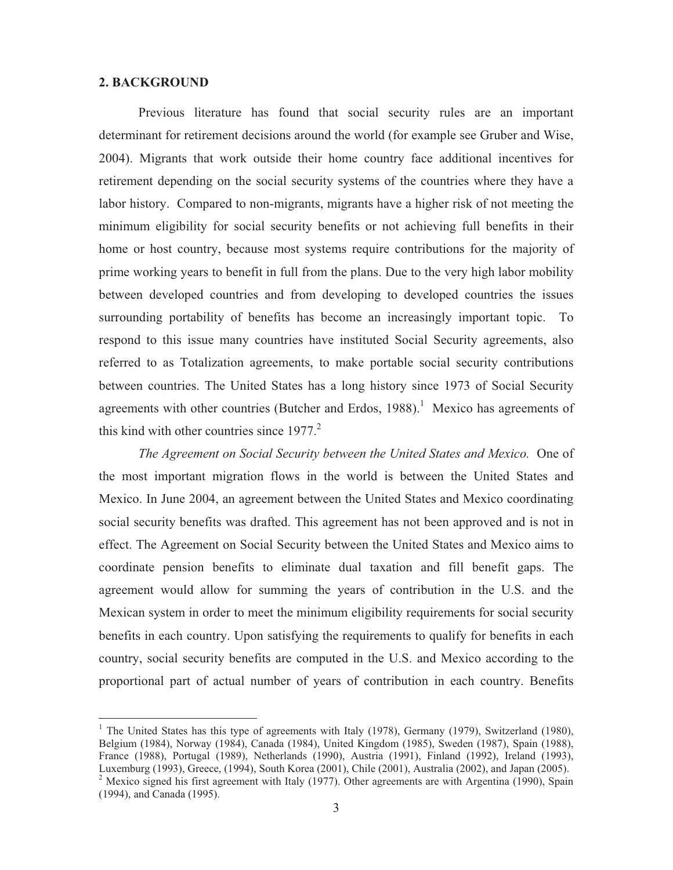#### **2. BACKGROUND**

Previous literature has found that social security rules are an important determinant for retirement decisions around the world (for example see Gruber and Wise, 2004). Migrants that work outside their home country face additional incentives for retirement depending on the social security systems of the countries where they have a labor history. Compared to non-migrants, migrants have a higher risk of not meeting the minimum eligibility for social security benefits or not achieving full benefits in their home or host country, because most systems require contributions for the majority of prime working years to benefit in full from the plans. Due to the very high labor mobility between developed countries and from developing to developed countries the issues surrounding portability of benefits has become an increasingly important topic. To respond to this issue many countries have instituted Social Security agreements, also referred to as Totalization agreements, to make portable social security contributions between countries. The United States has a long history since 1973 of Social Security agreements with other countries (Butcher and Erdos,  $1988$ ).<sup>1</sup> Mexico has agreements of this kind with other countries since  $1977$ .<sup>2</sup>

*The Agreement on Social Security between the United States and Mexico.* One of the most important migration flows in the world is between the United States and Mexico. In June 2004, an agreement between the United States and Mexico coordinating social security benefits was drafted. This agreement has not been approved and is not in effect. The Agreement on Social Security between the United States and Mexico aims to coordinate pension benefits to eliminate dual taxation and fill benefit gaps. The agreement would allow for summing the years of contribution in the U.S. and the Mexican system in order to meet the minimum eligibility requirements for social security benefits in each country. Upon satisfying the requirements to qualify for benefits in each country, social security benefits are computed in the U.S. and Mexico according to the proportional part of actual number of years of contribution in each country. Benefits

 $\overline{a}$ <sup>1</sup> The United States has this type of agreements with Italy (1978), Germany (1979), Switzerland (1980), Belgium (1984), Norway (1984), Canada (1984), United Kingdom (1985), Sweden (1987), Spain (1988), France (1988), Portugal (1989), Netherlands (1990), Austria (1991), Finland (1992), Ireland (1993), Luxemburg (1993), Greece, (1994), South Korea (2001), Chile (2001), Australia (2002), and Japan (2005).

<sup>&</sup>lt;sup>2</sup> Mexico signed his first agreement with Italy (1977). Other agreements are with Argentina (1990), Spain (1994), and Canada (1995).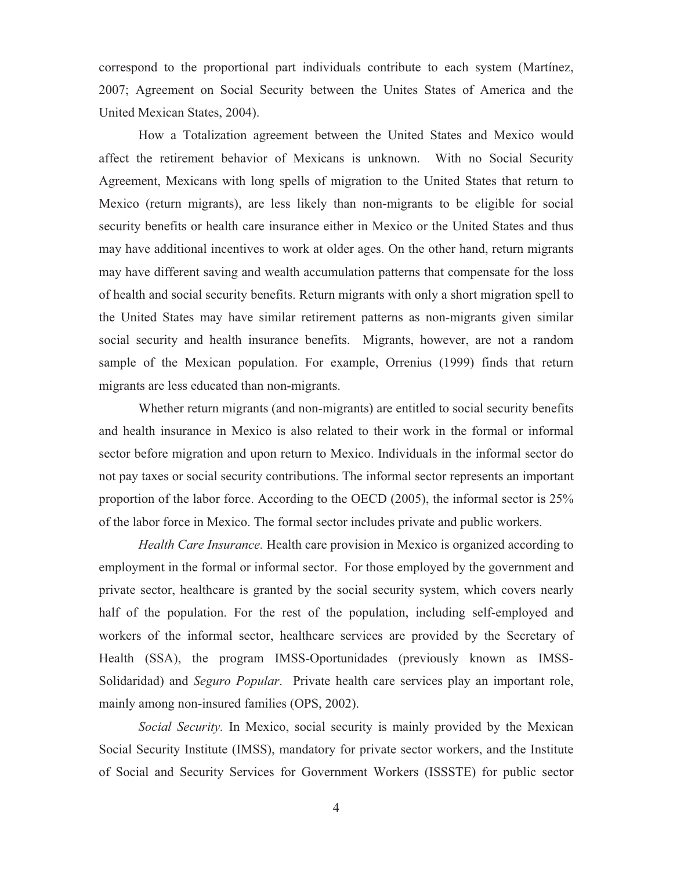correspond to the proportional part individuals contribute to each system (Martínez, 2007; Agreement on Social Security between the Unites States of America and the United Mexican States, 2004).

How a Totalization agreement between the United States and Mexico would affect the retirement behavior of Mexicans is unknown. With no Social Security Agreement, Mexicans with long spells of migration to the United States that return to Mexico (return migrants), are less likely than non-migrants to be eligible for social security benefits or health care insurance either in Mexico or the United States and thus may have additional incentives to work at older ages. On the other hand, return migrants may have different saving and wealth accumulation patterns that compensate for the loss of health and social security benefits. Return migrants with only a short migration spell to the United States may have similar retirement patterns as non-migrants given similar social security and health insurance benefits. Migrants, however, are not a random sample of the Mexican population. For example, Orrenius (1999) finds that return migrants are less educated than non-migrants.

Whether return migrants (and non-migrants) are entitled to social security benefits and health insurance in Mexico is also related to their work in the formal or informal sector before migration and upon return to Mexico. Individuals in the informal sector do not pay taxes or social security contributions. The informal sector represents an important proportion of the labor force. According to the OECD (2005), the informal sector is 25% of the labor force in Mexico. The formal sector includes private and public workers.

*Health Care Insurance.* Health care provision in Mexico is organized according to employment in the formal or informal sector. For those employed by the government and private sector, healthcare is granted by the social security system, which covers nearly half of the population. For the rest of the population, including self-employed and workers of the informal sector, healthcare services are provided by the Secretary of Health (SSA), the program IMSS-Oportunidades (previously known as IMSS-Solidaridad) and *Seguro Popular*. Private health care services play an important role, mainly among non-insured families (OPS, 2002).

*Social Security.* In Mexico, social security is mainly provided by the Mexican Social Security Institute (IMSS), mandatory for private sector workers, and the Institute of Social and Security Services for Government Workers (ISSSTE) for public sector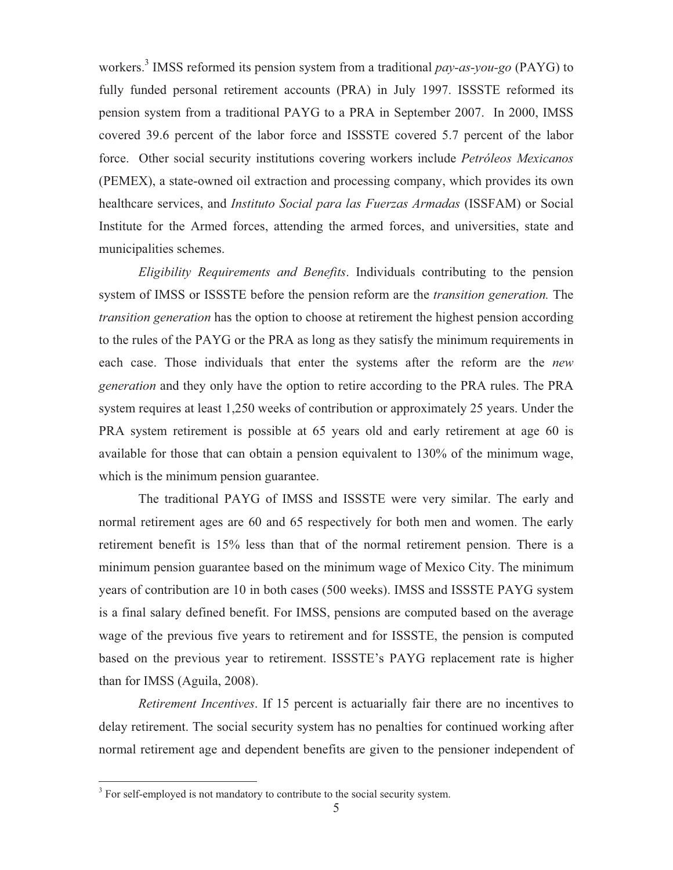workers.3 IMSS reformed its pension system from a traditional *pay-as-you-go* (PAYG) to fully funded personal retirement accounts (PRA) in July 1997. ISSSTE reformed its pension system from a traditional PAYG to a PRA in September 2007. In 2000, IMSS covered 39.6 percent of the labor force and ISSSTE covered 5.7 percent of the labor force. Other social security institutions covering workers include *Petróleos Mexicanos* (PEMEX), a state-owned oil extraction and processing company, which provides its own healthcare services, and *Instituto Social para las Fuerzas Armadas* (ISSFAM) or Social Institute for the Armed forces, attending the armed forces, and universities, state and municipalities schemes.

*Eligibility Requirements and Benefits*. Individuals contributing to the pension system of IMSS or ISSSTE before the pension reform are the *transition generation.* The *transition generation* has the option to choose at retirement the highest pension according to the rules of the PAYG or the PRA as long as they satisfy the minimum requirements in each case. Those individuals that enter the systems after the reform are the *new generation* and they only have the option to retire according to the PRA rules. The PRA system requires at least 1,250 weeks of contribution or approximately 25 years. Under the PRA system retirement is possible at 65 years old and early retirement at age 60 is available for those that can obtain a pension equivalent to 130% of the minimum wage, which is the minimum pension guarantee.

The traditional PAYG of IMSS and ISSSTE were very similar. The early and normal retirement ages are 60 and 65 respectively for both men and women. The early retirement benefit is 15% less than that of the normal retirement pension. There is a minimum pension guarantee based on the minimum wage of Mexico City. The minimum years of contribution are 10 in both cases (500 weeks). IMSS and ISSSTE PAYG system is a final salary defined benefit. For IMSS, pensions are computed based on the average wage of the previous five years to retirement and for ISSSTE, the pension is computed based on the previous year to retirement. ISSSTE's PAYG replacement rate is higher than for IMSS (Aguila, 2008).

*Retirement Incentives*. If 15 percent is actuarially fair there are no incentives to delay retirement. The social security system has no penalties for continued working after normal retirement age and dependent benefits are given to the pensioner independent of

<sup>&</sup>lt;sup>3</sup> For self-employed is not mandatory to contribute to the social security system.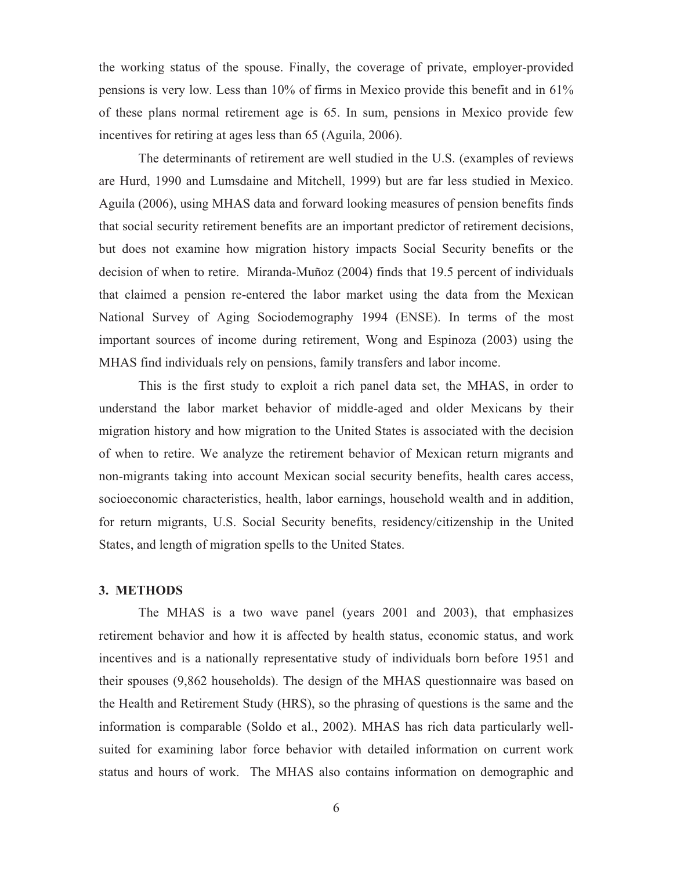the working status of the spouse. Finally, the coverage of private, employer-provided pensions is very low. Less than 10% of firms in Mexico provide this benefit and in 61% of these plans normal retirement age is 65. In sum, pensions in Mexico provide few incentives for retiring at ages less than 65 (Aguila, 2006).

The determinants of retirement are well studied in the U.S. (examples of reviews are Hurd, 1990 and Lumsdaine and Mitchell, 1999) but are far less studied in Mexico. Aguila (2006), using MHAS data and forward looking measures of pension benefits finds that social security retirement benefits are an important predictor of retirement decisions, but does not examine how migration history impacts Social Security benefits or the decision of when to retire. Miranda-Muñoz (2004) finds that 19.5 percent of individuals that claimed a pension re-entered the labor market using the data from the Mexican National Survey of Aging Sociodemography 1994 (ENSE). In terms of the most important sources of income during retirement, Wong and Espinoza (2003) using the MHAS find individuals rely on pensions, family transfers and labor income.

This is the first study to exploit a rich panel data set, the MHAS, in order to understand the labor market behavior of middle-aged and older Mexicans by their migration history and how migration to the United States is associated with the decision of when to retire. We analyze the retirement behavior of Mexican return migrants and non-migrants taking into account Mexican social security benefits, health cares access, socioeconomic characteristics, health, labor earnings, household wealth and in addition, for return migrants, U.S. Social Security benefits, residency/citizenship in the United States, and length of migration spells to the United States.

#### **3. METHODS**

The MHAS is a two wave panel (years 2001 and 2003), that emphasizes retirement behavior and how it is affected by health status, economic status, and work incentives and is a nationally representative study of individuals born before 1951 and their spouses (9,862 households). The design of the MHAS questionnaire was based on the Health and Retirement Study (HRS), so the phrasing of questions is the same and the information is comparable (Soldo et al., 2002). MHAS has rich data particularly wellsuited for examining labor force behavior with detailed information on current work status and hours of work. The MHAS also contains information on demographic and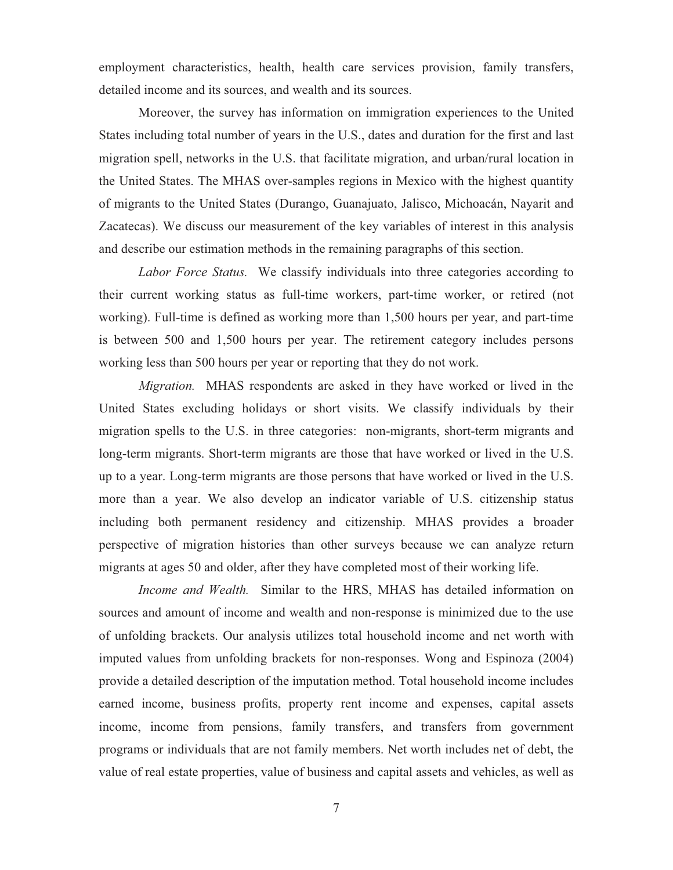employment characteristics, health, health care services provision, family transfers, detailed income and its sources, and wealth and its sources.

Moreover, the survey has information on immigration experiences to the United States including total number of years in the U.S., dates and duration for the first and last migration spell, networks in the U.S. that facilitate migration, and urban/rural location in the United States. The MHAS over-samples regions in Mexico with the highest quantity of migrants to the United States (Durango, Guanajuato, Jalisco, Michoacán, Nayarit and Zacatecas). We discuss our measurement of the key variables of interest in this analysis and describe our estimation methods in the remaining paragraphs of this section.

*Labor Force Status.* We classify individuals into three categories according to their current working status as full-time workers, part-time worker, or retired (not working). Full-time is defined as working more than 1,500 hours per year, and part-time is between 500 and 1,500 hours per year. The retirement category includes persons working less than 500 hours per year or reporting that they do not work.

*Migration.* MHAS respondents are asked in they have worked or lived in the United States excluding holidays or short visits. We classify individuals by their migration spells to the U.S. in three categories: non-migrants, short-term migrants and long-term migrants. Short-term migrants are those that have worked or lived in the U.S. up to a year. Long-term migrants are those persons that have worked or lived in the U.S. more than a year. We also develop an indicator variable of U.S. citizenship status including both permanent residency and citizenship. MHAS provides a broader perspective of migration histories than other surveys because we can analyze return migrants at ages 50 and older, after they have completed most of their working life.

*Income and Wealth.* Similar to the HRS, MHAS has detailed information on sources and amount of income and wealth and non-response is minimized due to the use of unfolding brackets. Our analysis utilizes total household income and net worth with imputed values from unfolding brackets for non-responses. Wong and Espinoza (2004) provide a detailed description of the imputation method. Total household income includes earned income, business profits, property rent income and expenses, capital assets income, income from pensions, family transfers, and transfers from government programs or individuals that are not family members. Net worth includes net of debt, the value of real estate properties, value of business and capital assets and vehicles, as well as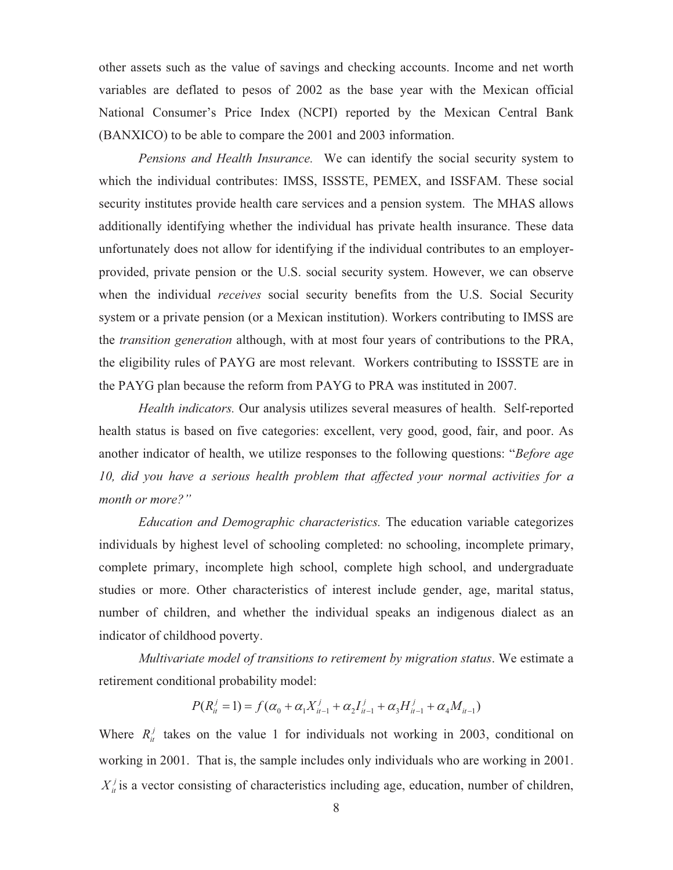other assets such as the value of savings and checking accounts. Income and net worth variables are deflated to pesos of 2002 as the base year with the Mexican official National Consumer's Price Index (NCPI) reported by the Mexican Central Bank (BANXICO) to be able to compare the 2001 and 2003 information.

 *Pensions and Health Insurance.* We can identify the social security system to which the individual contributes: IMSS, ISSSTE, PEMEX, and ISSFAM. These social security institutes provide health care services and a pension system. The MHAS allows additionally identifying whether the individual has private health insurance. These data unfortunately does not allow for identifying if the individual contributes to an employerprovided, private pension or the U.S. social security system. However, we can observe when the individual *receives* social security benefits from the U.S. Social Security system or a private pension (or a Mexican institution). Workers contributing to IMSS are the *transition generation* although, with at most four years of contributions to the PRA, the eligibility rules of PAYG are most relevant. Workers contributing to ISSSTE are in the PAYG plan because the reform from PAYG to PRA was instituted in 2007.

*Health indicators.* Our analysis utilizes several measures of health. Self-reported health status is based on five categories: excellent, very good, good, fair, and poor. As another indicator of health, we utilize responses to the following questions: "*Before age 10, did you have a serious health problem that affected your normal activities for a month or more?"* 

 *Education and Demographic characteristics.* The education variable categorizes individuals by highest level of schooling completed: no schooling, incomplete primary, complete primary, incomplete high school, complete high school, and undergraduate studies or more. Other characteristics of interest include gender, age, marital status, number of children, and whether the individual speaks an indigenous dialect as an indicator of childhood poverty.

*Multivariate model of transitions to retirement by migration status*. We estimate a retirement conditional probability model:

$$
P(R_{it}^j = 1) = f(\alpha_0 + \alpha_1 X_{it-1}^j + \alpha_2 I_{it-1}^j + \alpha_3 H_{it-1}^j + \alpha_4 M_{it-1})
$$

Where  $R_{ii}^{j}$  takes on the value 1 for individuals not working in 2003, conditional on working in 2001. That is, the sample includes only individuals who are working in 2001.  $X_{\mu}^{j}$  is a vector consisting of characteristics including age, education, number of children,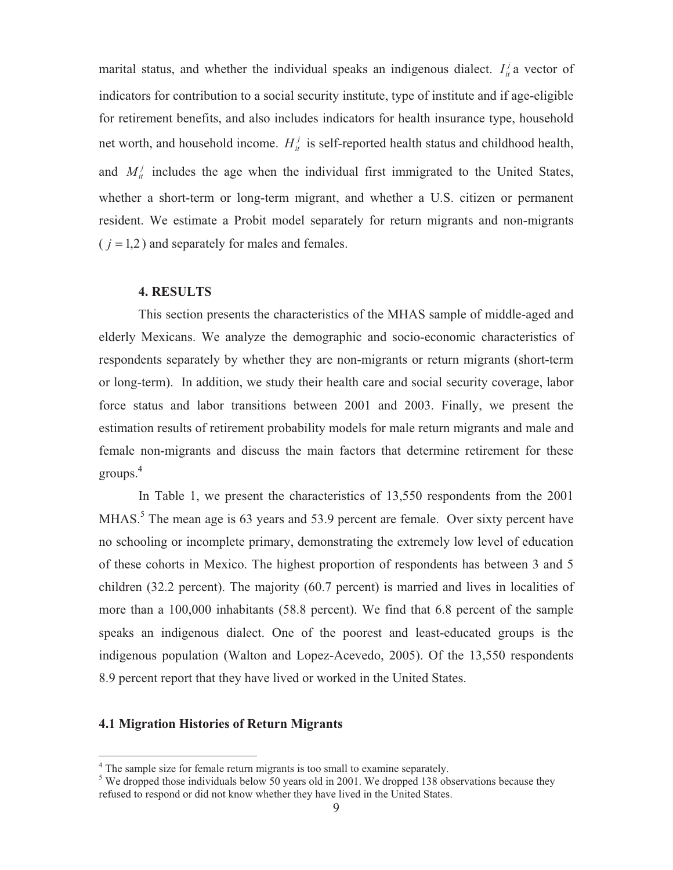marital status, and whether the individual speaks an indigenous dialect.  $I_{ii}^j$  a vector of indicators for contribution to a social security institute, type of institute and if age-eligible for retirement benefits, and also includes indicators for health insurance type, household net worth, and household income.  $H^j_{tt}$  is self-reported health status and childhood health, and  $M_i^j$  includes the age when the individual first immigrated to the United States, whether a short-term or long-term migrant, and whether a U.S. citizen or permanent resident. We estimate a Probit model separately for return migrants and non-migrants  $(j = 1,2)$  and separately for males and females.

#### **4. RESULTS**

This section presents the characteristics of the MHAS sample of middle-aged and elderly Mexicans. We analyze the demographic and socio-economic characteristics of respondents separately by whether they are non-migrants or return migrants (short-term or long-term). In addition, we study their health care and social security coverage, labor force status and labor transitions between 2001 and 2003. Finally, we present the estimation results of retirement probability models for male return migrants and male and female non-migrants and discuss the main factors that determine retirement for these groups.<sup>4</sup>

In Table 1, we present the characteristics of 13,550 respondents from the 2001 MHAS.<sup>5</sup> The mean age is 63 years and 53.9 percent are female. Over sixty percent have no schooling or incomplete primary, demonstrating the extremely low level of education of these cohorts in Mexico. The highest proportion of respondents has between 3 and 5 children (32.2 percent). The majority (60.7 percent) is married and lives in localities of more than a 100,000 inhabitants (58.8 percent). We find that 6.8 percent of the sample speaks an indigenous dialect. One of the poorest and least-educated groups is the indigenous population (Walton and Lopez-Acevedo, 2005). Of the 13,550 respondents 8.9 percent report that they have lived or worked in the United States.

#### **4.1 Migration Histories of Return Migrants**

<sup>&</sup>lt;sup>4</sup><br><sup>4</sup> The sample size for female return migrants is too small to examine separately.<br><sup>5</sup> We dropped these individuals below 50 years old in 2001. We dropped 138 ob

 $5$  We dropped those individuals below 50 years old in 2001. We dropped 138 observations because they refused to respond or did not know whether they have lived in the United States.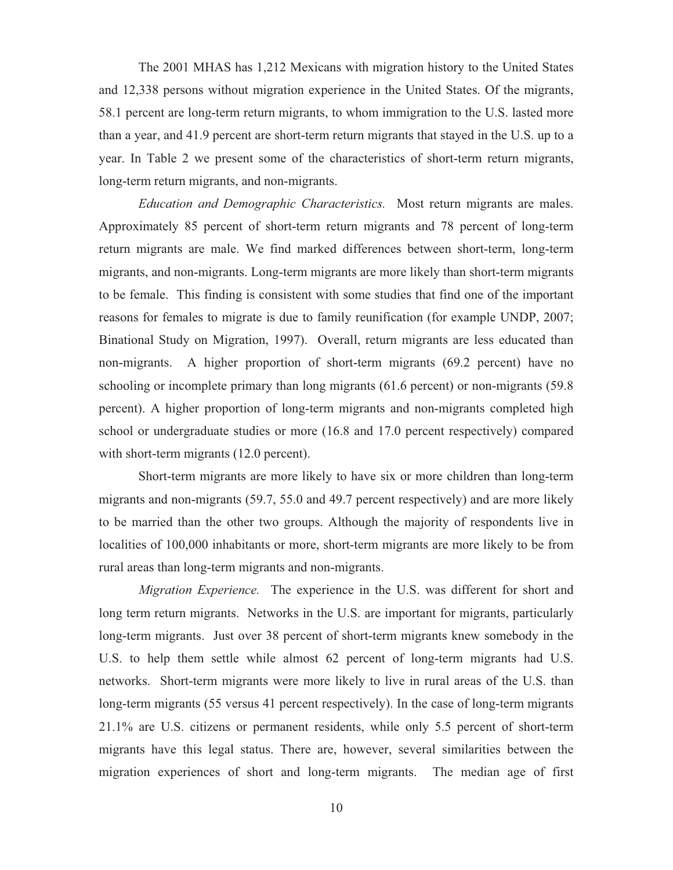The 2001 MHAS has 1,212 Mexicans with migration history to the United States and 12,338 persons without migration experience in the United States. Of the migrants, 58.1 percent are long-term return migrants, to whom immigration to the U.S. lasted more than a year, and 41.9 percent are short-term return migrants that stayed in the U.S. up to a year. In Table 2 we present some of the characteristics of short-term return migrants, long-term return migrants, and non-migrants.

*Education and Demographic Characteristics.* Most return migrants are males. Approximately 85 percent of short-term return migrants and 78 percent of long-term return migrants are male. We find marked differences between short-term, long-term migrants, and non-migrants. Long-term migrants are more likely than short-term migrants to be female. This finding is consistent with some studies that find one of the important reasons for females to migrate is due to family reunification (for example UNDP, 2007; Binational Study on Migration, 1997). Overall, return migrants are less educated than non-migrants. A higher proportion of short-term migrants (69.2 percent) have no schooling or incomplete primary than long migrants (61.6 percent) or non-migrants (59.8 percent). A higher proportion of long-term migrants and non-migrants completed high school or undergraduate studies or more (16.8 and 17.0 percent respectively) compared with short-term migrants (12.0 percent).

Short-term migrants are more likely to have six or more children than long-term migrants and non-migrants (59.7, 55.0 and 49.7 percent respectively) and are more likely to be married than the other two groups. Although the majority of respondents live in localities of 100,000 inhabitants or more, short-term migrants are more likely to be from rural areas than long-term migrants and non-migrants.

*Migration Experience.* The experience in the U.S. was different for short and long term return migrants. Networks in the U.S. are important for migrants, particularly long-term migrants. Just over 38 percent of short-term migrants knew somebody in the U.S. to help them settle while almost 62 percent of long-term migrants had U.S. networks. Short-term migrants were more likely to live in rural areas of the U.S. than long-term migrants (55 versus 41 percent respectively). In the case of long-term migrants 21.1% are U.S. citizens or permanent residents, while only 5.5 percent of short-term migrants have this legal status. There are, however, several similarities between the migration experiences of short and long-term migrants. The median age of first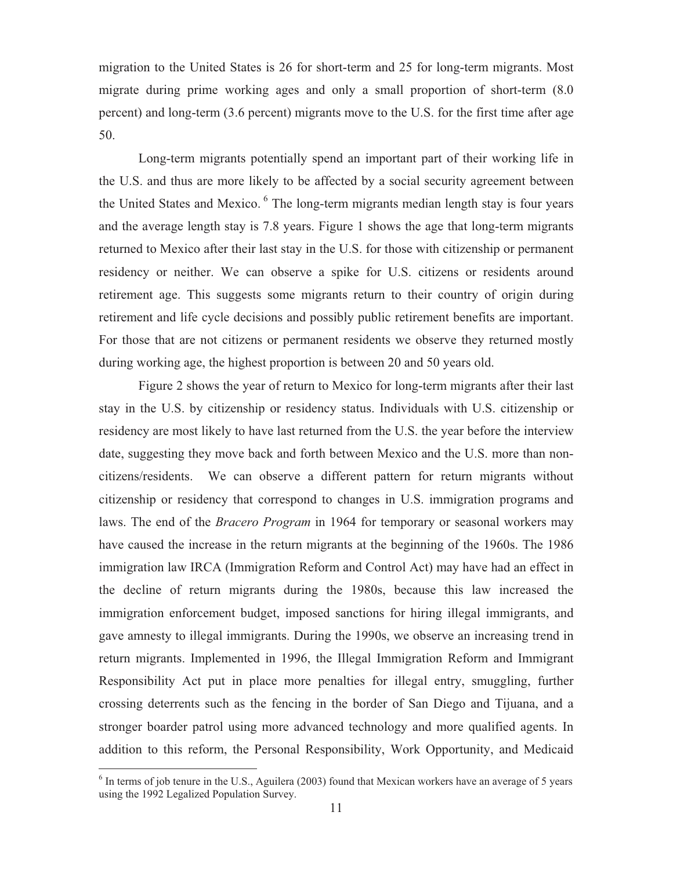migration to the United States is 26 for short-term and 25 for long-term migrants. Most migrate during prime working ages and only a small proportion of short-term (8.0 percent) and long-term (3.6 percent) migrants move to the U.S. for the first time after age 50.

Long-term migrants potentially spend an important part of their working life in the U.S. and thus are more likely to be affected by a social security agreement between the United States and Mexico. <sup>6</sup> The long-term migrants median length stay is four years and the average length stay is 7.8 years. Figure 1 shows the age that long-term migrants returned to Mexico after their last stay in the U.S. for those with citizenship or permanent residency or neither. We can observe a spike for U.S. citizens or residents around retirement age. This suggests some migrants return to their country of origin during retirement and life cycle decisions and possibly public retirement benefits are important. For those that are not citizens or permanent residents we observe they returned mostly during working age, the highest proportion is between 20 and 50 years old.

Figure 2 shows the year of return to Mexico for long-term migrants after their last stay in the U.S. by citizenship or residency status. Individuals with U.S. citizenship or residency are most likely to have last returned from the U.S. the year before the interview date, suggesting they move back and forth between Mexico and the U.S. more than noncitizens/residents. We can observe a different pattern for return migrants without citizenship or residency that correspond to changes in U.S. immigration programs and laws. The end of the *Bracero Program* in 1964 for temporary or seasonal workers may have caused the increase in the return migrants at the beginning of the 1960s. The 1986 immigration law IRCA (Immigration Reform and Control Act) may have had an effect in the decline of return migrants during the 1980s, because this law increased the immigration enforcement budget, imposed sanctions for hiring illegal immigrants, and gave amnesty to illegal immigrants. During the 1990s, we observe an increasing trend in return migrants. Implemented in 1996, the Illegal Immigration Reform and Immigrant Responsibility Act put in place more penalties for illegal entry, smuggling, further crossing deterrents such as the fencing in the border of San Diego and Tijuana, and a stronger boarder patrol using more advanced technology and more qualified agents. In addition to this reform, the Personal Responsibility, Work Opportunity, and Medicaid

<sup>&</sup>lt;sup>6</sup> In terms of job tenure in the U.S., Aguilera (2003) found that Mexican workers have an average of 5 years using the 1992 Legalized Population Survey.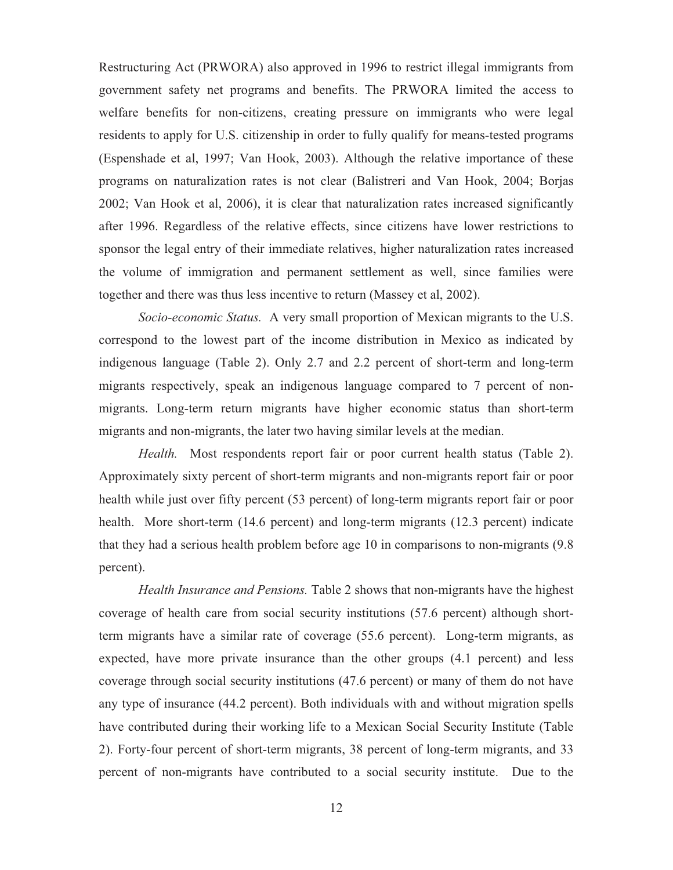Restructuring Act (PRWORA) also approved in 1996 to restrict illegal immigrants from government safety net programs and benefits. The PRWORA limited the access to welfare benefits for non-citizens, creating pressure on immigrants who were legal residents to apply for U.S. citizenship in order to fully qualify for means-tested programs (Espenshade et al, 1997; Van Hook, 2003). Although the relative importance of these programs on naturalization rates is not clear (Balistreri and Van Hook, 2004; Borjas 2002; Van Hook et al, 2006), it is clear that naturalization rates increased significantly after 1996. Regardless of the relative effects, since citizens have lower restrictions to sponsor the legal entry of their immediate relatives, higher naturalization rates increased the volume of immigration and permanent settlement as well, since families were together and there was thus less incentive to return (Massey et al, 2002).

*Socio-economic Status.* A very small proportion of Mexican migrants to the U.S. correspond to the lowest part of the income distribution in Mexico as indicated by indigenous language (Table 2). Only 2.7 and 2.2 percent of short-term and long-term migrants respectively, speak an indigenous language compared to 7 percent of nonmigrants. Long-term return migrants have higher economic status than short-term migrants and non-migrants, the later two having similar levels at the median.

*Health.* Most respondents report fair or poor current health status (Table 2). Approximately sixty percent of short-term migrants and non-migrants report fair or poor health while just over fifty percent (53 percent) of long-term migrants report fair or poor health. More short-term (14.6 percent) and long-term migrants (12.3 percent) indicate that they had a serious health problem before age 10 in comparisons to non-migrants (9.8 percent).

*Health Insurance and Pensions.* Table 2 shows that non-migrants have the highest coverage of health care from social security institutions (57.6 percent) although shortterm migrants have a similar rate of coverage (55.6 percent). Long-term migrants, as expected, have more private insurance than the other groups (4.1 percent) and less coverage through social security institutions (47.6 percent) or many of them do not have any type of insurance (44.2 percent). Both individuals with and without migration spells have contributed during their working life to a Mexican Social Security Institute (Table 2). Forty-four percent of short-term migrants, 38 percent of long-term migrants, and 33 percent of non-migrants have contributed to a social security institute. Due to the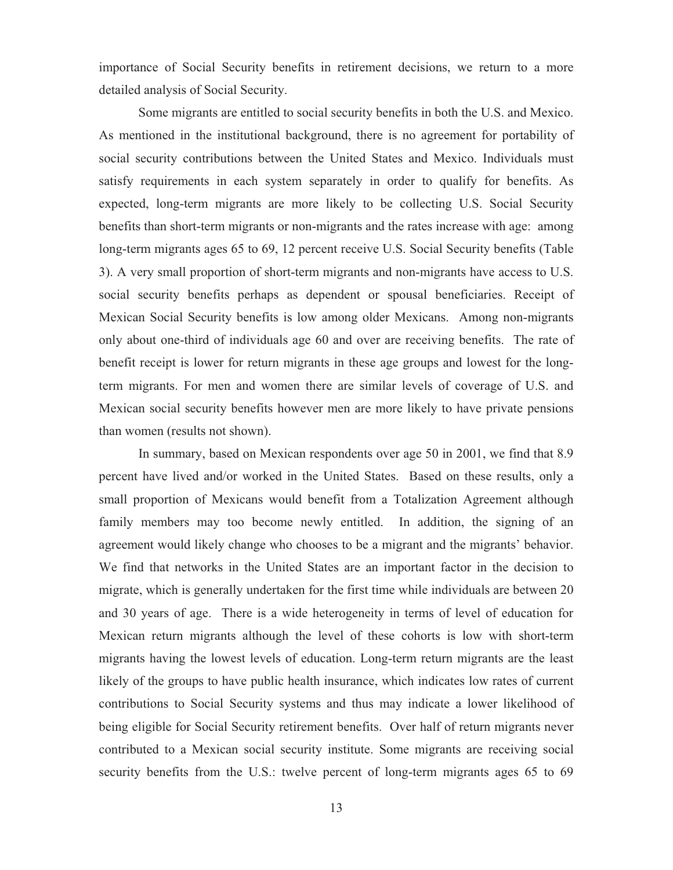importance of Social Security benefits in retirement decisions, we return to a more detailed analysis of Social Security.

Some migrants are entitled to social security benefits in both the U.S. and Mexico. As mentioned in the institutional background, there is no agreement for portability of social security contributions between the United States and Mexico. Individuals must satisfy requirements in each system separately in order to qualify for benefits. As expected, long-term migrants are more likely to be collecting U.S. Social Security benefits than short-term migrants or non-migrants and the rates increase with age: among long-term migrants ages 65 to 69, 12 percent receive U.S. Social Security benefits (Table 3). A very small proportion of short-term migrants and non-migrants have access to U.S. social security benefits perhaps as dependent or spousal beneficiaries. Receipt of Mexican Social Security benefits is low among older Mexicans. Among non-migrants only about one-third of individuals age 60 and over are receiving benefits. The rate of benefit receipt is lower for return migrants in these age groups and lowest for the longterm migrants. For men and women there are similar levels of coverage of U.S. and Mexican social security benefits however men are more likely to have private pensions than women (results not shown).

In summary, based on Mexican respondents over age 50 in 2001, we find that 8.9 percent have lived and/or worked in the United States. Based on these results, only a small proportion of Mexicans would benefit from a Totalization Agreement although family members may too become newly entitled. In addition, the signing of an agreement would likely change who chooses to be a migrant and the migrants' behavior. We find that networks in the United States are an important factor in the decision to migrate, which is generally undertaken for the first time while individuals are between 20 and 30 years of age. There is a wide heterogeneity in terms of level of education for Mexican return migrants although the level of these cohorts is low with short-term migrants having the lowest levels of education. Long-term return migrants are the least likely of the groups to have public health insurance, which indicates low rates of current contributions to Social Security systems and thus may indicate a lower likelihood of being eligible for Social Security retirement benefits. Over half of return migrants never contributed to a Mexican social security institute. Some migrants are receiving social security benefits from the U.S.: twelve percent of long-term migrants ages 65 to 69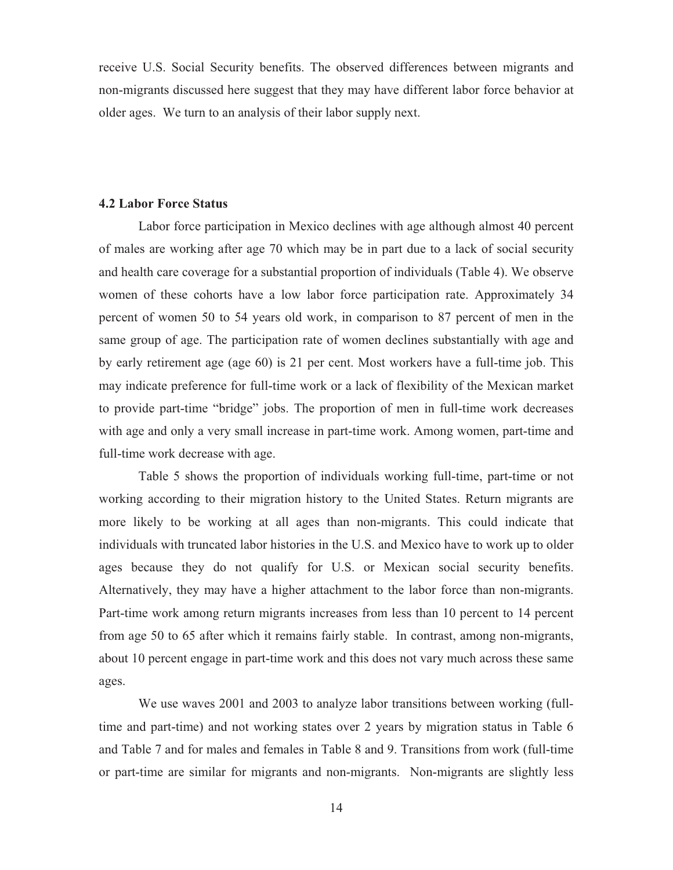receive U.S. Social Security benefits. The observed differences between migrants and non-migrants discussed here suggest that they may have different labor force behavior at older ages. We turn to an analysis of their labor supply next.

#### **4.2 Labor Force Status**

Labor force participation in Mexico declines with age although almost 40 percent of males are working after age 70 which may be in part due to a lack of social security and health care coverage for a substantial proportion of individuals (Table 4). We observe women of these cohorts have a low labor force participation rate. Approximately 34 percent of women 50 to 54 years old work, in comparison to 87 percent of men in the same group of age. The participation rate of women declines substantially with age and by early retirement age (age 60) is 21 per cent. Most workers have a full-time job. This may indicate preference for full-time work or a lack of flexibility of the Mexican market to provide part-time "bridge" jobs. The proportion of men in full-time work decreases with age and only a very small increase in part-time work. Among women, part-time and full-time work decrease with age.

Table 5 shows the proportion of individuals working full-time, part-time or not working according to their migration history to the United States. Return migrants are more likely to be working at all ages than non-migrants. This could indicate that individuals with truncated labor histories in the U.S. and Mexico have to work up to older ages because they do not qualify for U.S. or Mexican social security benefits. Alternatively, they may have a higher attachment to the labor force than non-migrants. Part-time work among return migrants increases from less than 10 percent to 14 percent from age 50 to 65 after which it remains fairly stable. In contrast, among non-migrants, about 10 percent engage in part-time work and this does not vary much across these same ages.

We use waves 2001 and 2003 to analyze labor transitions between working (fulltime and part-time) and not working states over 2 years by migration status in Table 6 and Table 7 and for males and females in Table 8 and 9. Transitions from work (full-time or part-time are similar for migrants and non-migrants. Non-migrants are slightly less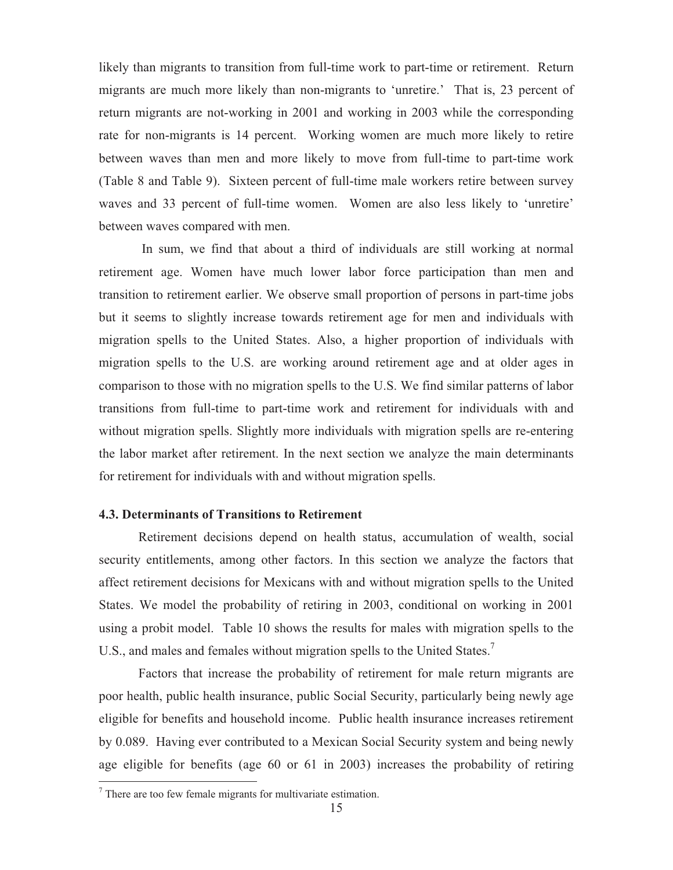likely than migrants to transition from full-time work to part-time or retirement. Return migrants are much more likely than non-migrants to 'unretire.' That is, 23 percent of return migrants are not-working in 2001 and working in 2003 while the corresponding rate for non-migrants is 14 percent. Working women are much more likely to retire between waves than men and more likely to move from full-time to part-time work (Table 8 and Table 9). Sixteen percent of full-time male workers retire between survey waves and 33 percent of full-time women. Women are also less likely to 'unretire' between waves compared with men.

 In sum, we find that about a third of individuals are still working at normal retirement age. Women have much lower labor force participation than men and transition to retirement earlier. We observe small proportion of persons in part-time jobs but it seems to slightly increase towards retirement age for men and individuals with migration spells to the United States. Also, a higher proportion of individuals with migration spells to the U.S. are working around retirement age and at older ages in comparison to those with no migration spells to the U.S. We find similar patterns of labor transitions from full-time to part-time work and retirement for individuals with and without migration spells. Slightly more individuals with migration spells are re-entering the labor market after retirement. In the next section we analyze the main determinants for retirement for individuals with and without migration spells.

### **4.3. Determinants of Transitions to Retirement**

 Retirement decisions depend on health status, accumulation of wealth, social security entitlements, among other factors. In this section we analyze the factors that affect retirement decisions for Mexicans with and without migration spells to the United States. We model the probability of retiring in 2003, conditional on working in 2001 using a probit model. Table 10 shows the results for males with migration spells to the U.S., and males and females without migration spells to the United States.<sup>7</sup>

Factors that increase the probability of retirement for male return migrants are poor health, public health insurance, public Social Security, particularly being newly age eligible for benefits and household income. Public health insurance increases retirement by 0.089. Having ever contributed to a Mexican Social Security system and being newly age eligible for benefits (age 60 or 61 in 2003) increases the probability of retiring

 7 There are too few female migrants for multivariate estimation.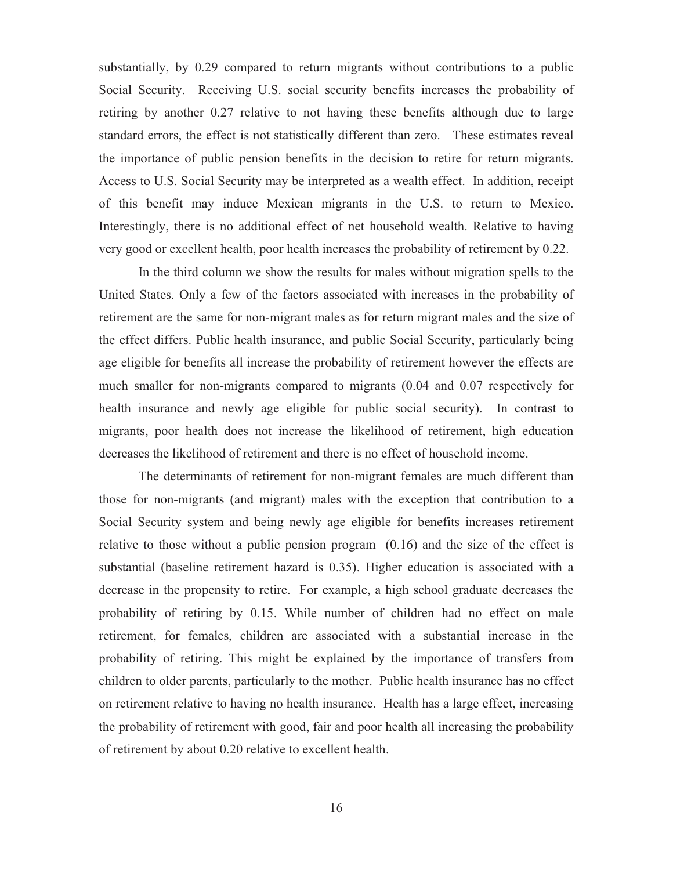substantially, by 0.29 compared to return migrants without contributions to a public Social Security. Receiving U.S. social security benefits increases the probability of retiring by another 0.27 relative to not having these benefits although due to large standard errors, the effect is not statistically different than zero. These estimates reveal the importance of public pension benefits in the decision to retire for return migrants. Access to U.S. Social Security may be interpreted as a wealth effect. In addition, receipt of this benefit may induce Mexican migrants in the U.S. to return to Mexico. Interestingly, there is no additional effect of net household wealth. Relative to having very good or excellent health, poor health increases the probability of retirement by 0.22.

In the third column we show the results for males without migration spells to the United States. Only a few of the factors associated with increases in the probability of retirement are the same for non-migrant males as for return migrant males and the size of the effect differs. Public health insurance, and public Social Security, particularly being age eligible for benefits all increase the probability of retirement however the effects are much smaller for non-migrants compared to migrants (0.04 and 0.07 respectively for health insurance and newly age eligible for public social security). In contrast to migrants, poor health does not increase the likelihood of retirement, high education decreases the likelihood of retirement and there is no effect of household income.

The determinants of retirement for non-migrant females are much different than those for non-migrants (and migrant) males with the exception that contribution to a Social Security system and being newly age eligible for benefits increases retirement relative to those without a public pension program (0.16) and the size of the effect is substantial (baseline retirement hazard is 0.35). Higher education is associated with a decrease in the propensity to retire. For example, a high school graduate decreases the probability of retiring by 0.15. While number of children had no effect on male retirement, for females, children are associated with a substantial increase in the probability of retiring. This might be explained by the importance of transfers from children to older parents, particularly to the mother. Public health insurance has no effect on retirement relative to having no health insurance. Health has a large effect, increasing the probability of retirement with good, fair and poor health all increasing the probability of retirement by about 0.20 relative to excellent health.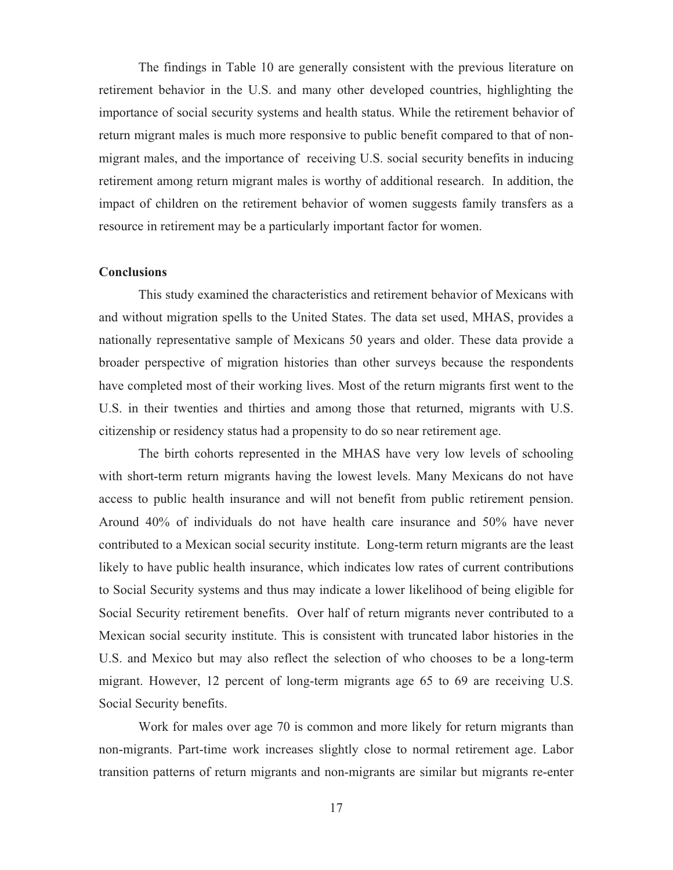The findings in Table 10 are generally consistent with the previous literature on retirement behavior in the U.S. and many other developed countries, highlighting the importance of social security systems and health status. While the retirement behavior of return migrant males is much more responsive to public benefit compared to that of nonmigrant males, and the importance of receiving U.S. social security benefits in inducing retirement among return migrant males is worthy of additional research. In addition, the impact of children on the retirement behavior of women suggests family transfers as a resource in retirement may be a particularly important factor for women.

#### **Conclusions**

 This study examined the characteristics and retirement behavior of Mexicans with and without migration spells to the United States. The data set used, MHAS, provides a nationally representative sample of Mexicans 50 years and older. These data provide a broader perspective of migration histories than other surveys because the respondents have completed most of their working lives. Most of the return migrants first went to the U.S. in their twenties and thirties and among those that returned, migrants with U.S. citizenship or residency status had a propensity to do so near retirement age.

 The birth cohorts represented in the MHAS have very low levels of schooling with short-term return migrants having the lowest levels. Many Mexicans do not have access to public health insurance and will not benefit from public retirement pension. Around 40% of individuals do not have health care insurance and 50% have never contributed to a Mexican social security institute. Long-term return migrants are the least likely to have public health insurance, which indicates low rates of current contributions to Social Security systems and thus may indicate a lower likelihood of being eligible for Social Security retirement benefits. Over half of return migrants never contributed to a Mexican social security institute. This is consistent with truncated labor histories in the U.S. and Mexico but may also reflect the selection of who chooses to be a long-term migrant. However, 12 percent of long-term migrants age 65 to 69 are receiving U.S. Social Security benefits.

 Work for males over age 70 is common and more likely for return migrants than non-migrants. Part-time work increases slightly close to normal retirement age. Labor transition patterns of return migrants and non-migrants are similar but migrants re-enter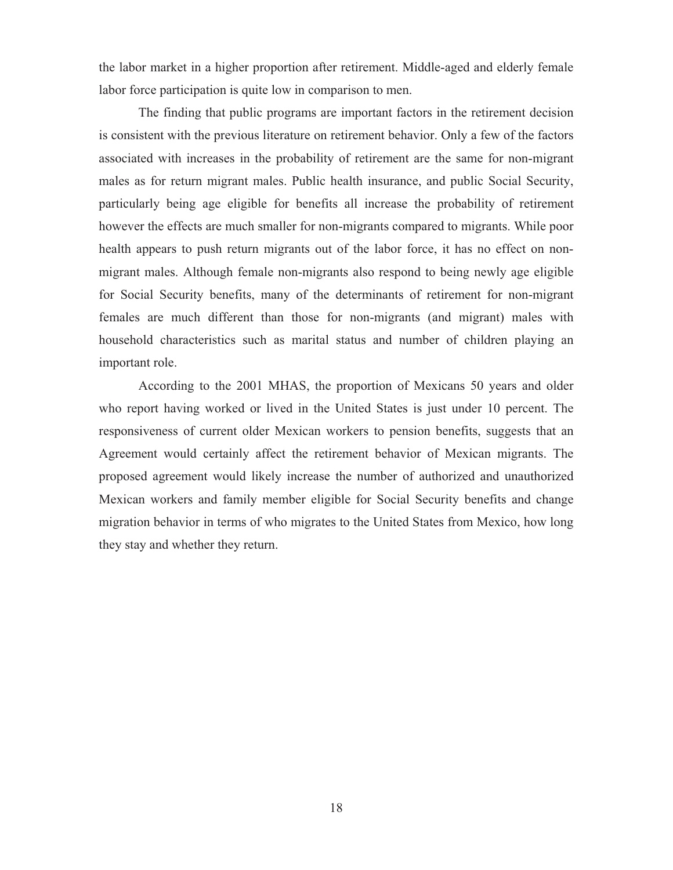the labor market in a higher proportion after retirement. Middle-aged and elderly female labor force participation is quite low in comparison to men.

 The finding that public programs are important factors in the retirement decision is consistent with the previous literature on retirement behavior. Only a few of the factors associated with increases in the probability of retirement are the same for non-migrant males as for return migrant males. Public health insurance, and public Social Security, particularly being age eligible for benefits all increase the probability of retirement however the effects are much smaller for non-migrants compared to migrants. While poor health appears to push return migrants out of the labor force, it has no effect on nonmigrant males. Although female non-migrants also respond to being newly age eligible for Social Security benefits, many of the determinants of retirement for non-migrant females are much different than those for non-migrants (and migrant) males with household characteristics such as marital status and number of children playing an important role.

 According to the 2001 MHAS, the proportion of Mexicans 50 years and older who report having worked or lived in the United States is just under 10 percent. The responsiveness of current older Mexican workers to pension benefits, suggests that an Agreement would certainly affect the retirement behavior of Mexican migrants. The proposed agreement would likely increase the number of authorized and unauthorized Mexican workers and family member eligible for Social Security benefits and change migration behavior in terms of who migrates to the United States from Mexico, how long they stay and whether they return.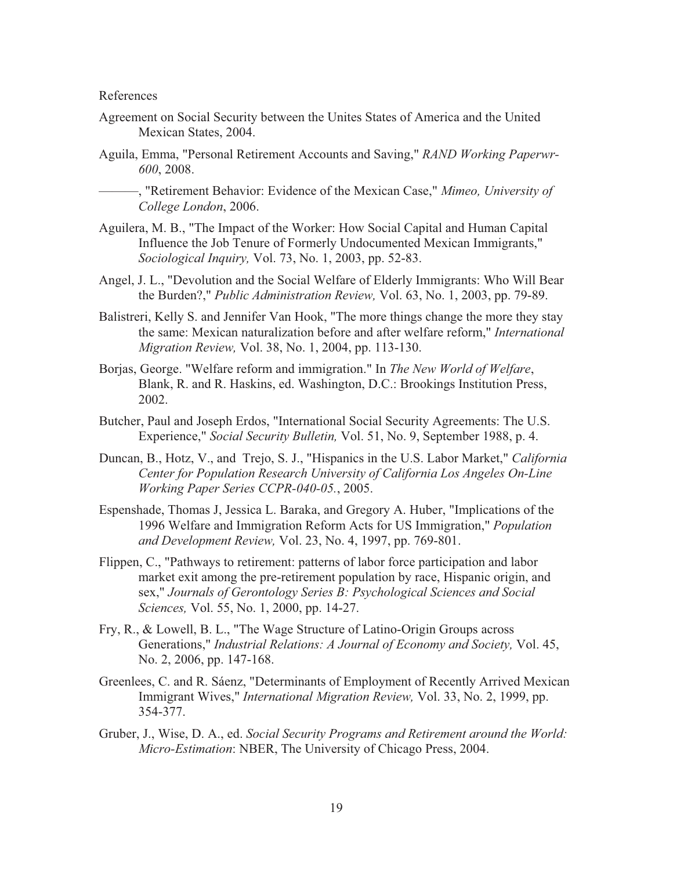#### References

- Agreement on Social Security between the Unites States of America and the United Mexican States, 2004.
- Aguila, Emma, "Personal Retirement Accounts and Saving," *RAND Working Paperwr-600*, 2008.

———, "Retirement Behavior: Evidence of the Mexican Case," *Mimeo, University of College London*, 2006.

- Aguilera, M. B., "The Impact of the Worker: How Social Capital and Human Capital Influence the Job Tenure of Formerly Undocumented Mexican Immigrants," *Sociological Inquiry,* Vol. 73, No. 1, 2003, pp. 52-83.
- Angel, J. L., "Devolution and the Social Welfare of Elderly Immigrants: Who Will Bear the Burden?," *Public Administration Review,* Vol. 63, No. 1, 2003, pp. 79-89.
- Balistreri, Kelly S. and Jennifer Van Hook, "The more things change the more they stay the same: Mexican naturalization before and after welfare reform," *International Migration Review,* Vol. 38, No. 1, 2004, pp. 113-130.
- Borjas, George. "Welfare reform and immigration." In *The New World of Welfare*, Blank, R. and R. Haskins, ed. Washington, D.C.: Brookings Institution Press, 2002.
- Butcher, Paul and Joseph Erdos, "International Social Security Agreements: The U.S. Experience," *Social Security Bulletin,* Vol. 51, No. 9, September 1988, p. 4.
- Duncan, B., Hotz, V., and Trejo, S. J., "Hispanics in the U.S. Labor Market," *California Center for Population Research University of California Los Angeles On-Line Working Paper Series CCPR-040-05.*, 2005.
- Espenshade, Thomas J, Jessica L. Baraka, and Gregory A. Huber, "Implications of the 1996 Welfare and Immigration Reform Acts for US Immigration," *Population and Development Review,* Vol. 23, No. 4, 1997, pp. 769-801.
- Flippen, C., "Pathways to retirement: patterns of labor force participation and labor market exit among the pre-retirement population by race, Hispanic origin, and sex," *Journals of Gerontology Series B: Psychological Sciences and Social Sciences,* Vol. 55, No. 1, 2000, pp. 14-27.
- Fry, R., & Lowell, B. L., "The Wage Structure of Latino-Origin Groups across Generations," *Industrial Relations: A Journal of Economy and Society,* Vol. 45, No. 2, 2006, pp. 147-168.
- Greenlees, C. and R. Sáenz, "Determinants of Employment of Recently Arrived Mexican Immigrant Wives," *International Migration Review,* Vol. 33, No. 2, 1999, pp. 354-377.
- Gruber, J., Wise, D. A., ed. *Social Security Programs and Retirement around the World: Micro-Estimation*: NBER, The University of Chicago Press, 2004.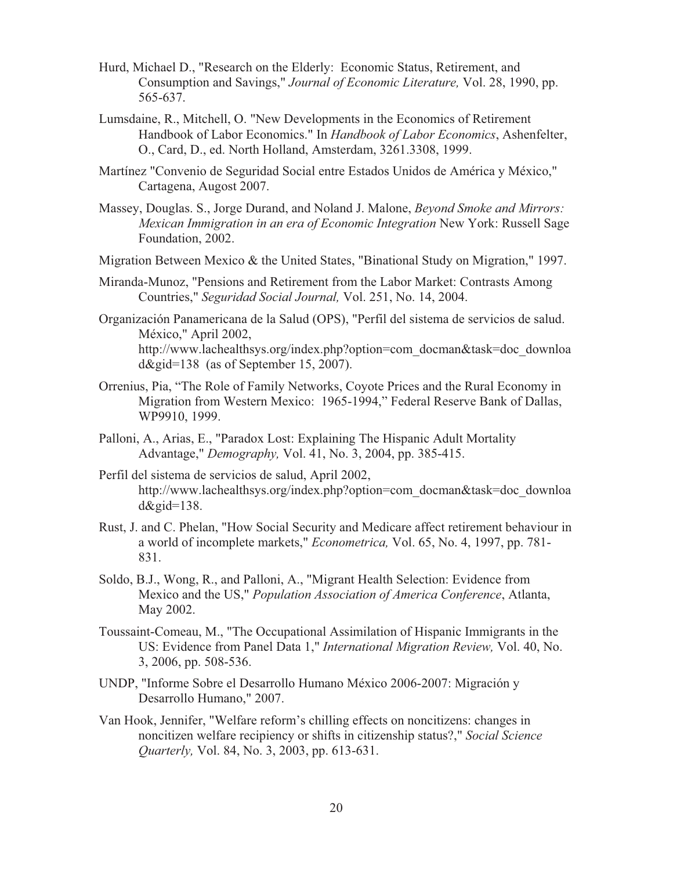- Hurd, Michael D., "Research on the Elderly: Economic Status, Retirement, and Consumption and Savings," *Journal of Economic Literature,* Vol. 28, 1990, pp. 565-637.
- Lumsdaine, R., Mitchell, O. "New Developments in the Economics of Retirement Handbook of Labor Economics." In *Handbook of Labor Economics*, Ashenfelter, O., Card, D., ed. North Holland, Amsterdam, 3261.3308, 1999.
- Martínez "Convenio de Seguridad Social entre Estados Unidos de América y México," Cartagena, Augost 2007.
- Massey, Douglas. S., Jorge Durand, and Noland J. Malone, *Beyond Smoke and Mirrors: Mexican Immigration in an era of Economic Integration* New York: Russell Sage Foundation, 2002.
- Migration Between Mexico & the United States, "Binational Study on Migration," 1997.
- Miranda-Munoz, "Pensions and Retirement from the Labor Market: Contrasts Among Countries," *Seguridad Social Journal,* Vol. 251, No. 14, 2004.
- Organización Panamericana de la Salud (OPS), "Perfil del sistema de servicios de salud. México," April 2002, [http://www.lachealthsys.org/index.php?option=com\\_docman&task=doc\\_downloa](http://www.lachealthsys.org/index.php?option=com_docman&task=doc_download&gid=138) d&gid=138 (as of September 15, 2007).
- Orrenius, Pia, "The Role of Family Networks, Coyote Prices and the Rural Economy in Migration from Western Mexico: 1965-1994," Federal Reserve Bank of Dallas, WP9910, 1999.
- Palloni, A., Arias, E., "Paradox Lost: Explaining The Hispanic Adult Mortality Advantage," *Demography,* Vol. 41, No. 3, 2004, pp. 385-415.
- Perfil del sistema de servicios de salud, April 2002, [http://www.lachealthsys.org/index.php?option=com\\_docman&task=doc\\_downloa](http://www.lachealthsys.org/index.php?option=com_docman&task=doc_download&gid=138)  $d\&$ gid=138.
- Rust, J. and C. Phelan, "How Social Security and Medicare affect retirement behaviour in a world of incomplete markets," *Econometrica,* Vol. 65, No. 4, 1997, pp. 781- 831.
- Soldo, B.J., Wong, R., and Palloni, A., "Migrant Health Selection: Evidence from Mexico and the US," *Population Association of America Conference*, Atlanta, May 2002.
- Toussaint-Comeau, M., "The Occupational Assimilation of Hispanic Immigrants in the US: Evidence from Panel Data 1," *International Migration Review,* Vol. 40, No. 3, 2006, pp. 508-536.
- UNDP, "Informe Sobre el Desarrollo Humano México 2006-2007: Migración y Desarrollo Humano," 2007.
- Van Hook, Jennifer, "Welfare reform's chilling effects on noncitizens: changes in noncitizen welfare recipiency or shifts in citizenship status?," *Social Science Quarterly,* Vol. 84, No. 3, 2003, pp. 613-631.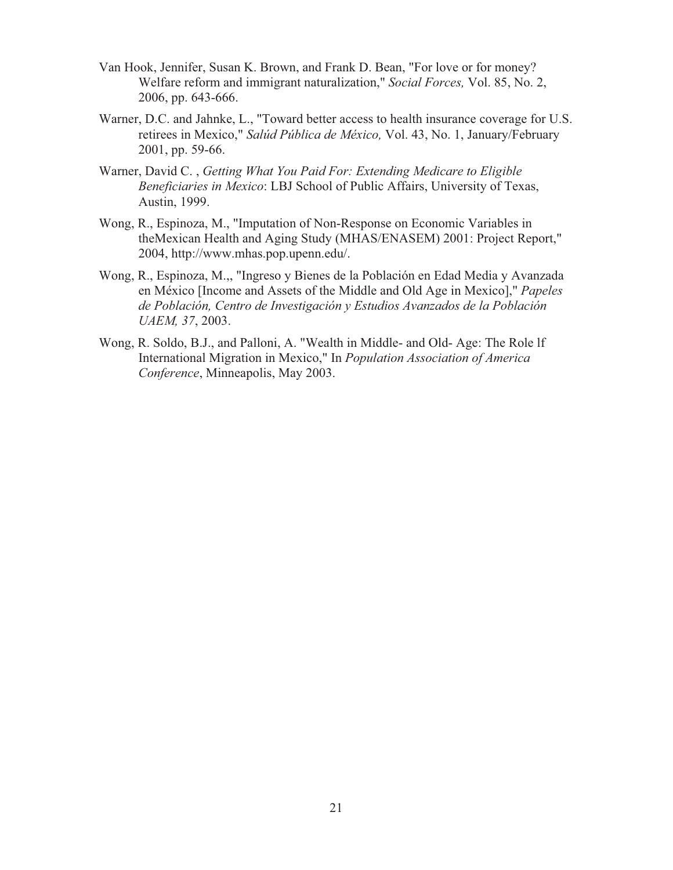- Van Hook, Jennifer, Susan K. Brown, and Frank D. Bean, "For love or for money? Welfare reform and immigrant naturalization," *Social Forces,* Vol. 85, No. 2, 2006, pp. 643-666.
- Warner, D.C. and Jahnke, L., "Toward better access to health insurance coverage for U.S. retirees in Mexico," *Salúd Pública de México,* Vol. 43, No. 1, January/February 2001, pp. 59-66.
- Warner, David C. , *Getting What You Paid For: Extending Medicare to Eligible Beneficiaries in Mexico*: LBJ School of Public Affairs, University of Texas, Austin, 1999.
- Wong, R., Espinoza, M., "Imputation of Non-Response on Economic Variables in theMexican Health and Aging Study (MHAS/ENASEM) 2001: Project Report," 2004, [http://www.mhas.pop.upenn.edu/.](http://www.mhas.pop.upenn.edu/)
- Wong, R., Espinoza, M.,, "Ingreso y Bienes de la Población en Edad Media y Avanzada en México [Income and Assets of the Middle and Old Age in Mexico]," *Papeles de Población, Centro de Investigación y Estudios Avanzados de la Población UAEM, 37*, 2003.
- Wong, R. Soldo, B.J., and Palloni, A. "Wealth in Middle- and Old- Age: The Role lf International Migration in Mexico," In *Population Association of America Conference*, Minneapolis, May 2003.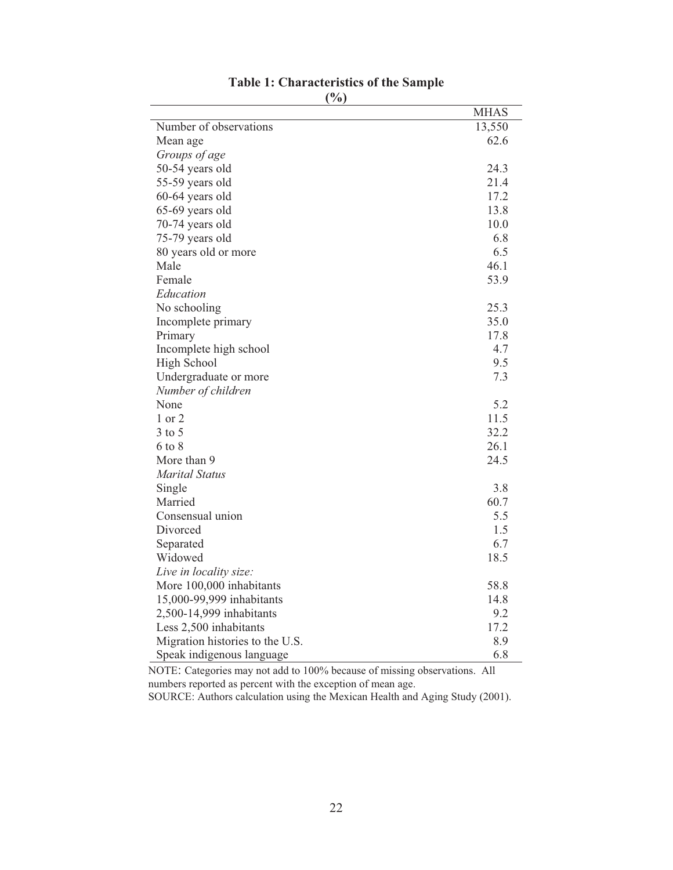|                                 | <b>MHAS</b> |
|---------------------------------|-------------|
| Number of observations          | 13,550      |
| Mean age                        | 62.6        |
| Groups of age                   |             |
| 50-54 years old                 | 24.3        |
| 55-59 years old                 | 21.4        |
| 60-64 years old                 | 17.2        |
| 65-69 years old                 | 13.8        |
| 70-74 years old                 | 10.0        |
| 75-79 years old                 | 6.8         |
| 80 years old or more            | 6.5         |
| Male                            | 46.1        |
| Female                          | 53.9        |
| Education                       |             |
| No schooling                    | 25.3        |
| Incomplete primary              | 35.0        |
| Primary                         | 17.8        |
| Incomplete high school          | 4.7         |
| <b>High School</b>              | 9.5         |
| Undergraduate or more           | 7.3         |
| Number of children              |             |
| None                            | 5.2         |
| 1 or 2                          | 11.5        |
| $3$ to $5$                      | 32.2        |
| $6$ to $8$                      | 26.1        |
| More than 9                     | 24.5        |
| <b>Marital Status</b>           |             |
| Single                          | 3.8         |
| Married                         | 60.7        |
| Consensual union                | 5.5         |
| Divorced                        | 1.5         |
| Separated                       | 6.7         |
| Widowed                         | 18.5        |
| Live in locality size:          |             |
| More 100,000 inhabitants        | 58.8        |
| 15,000-99,999 inhabitants       | 14.8        |
| 2,500-14,999 inhabitants        | 9.2         |
| Less 2,500 inhabitants          | 17.2        |
| Migration histories to the U.S. | 8.9         |
| Speak indigenous language       | 6.8         |

## **Table 1: Characteristics of the Sample (%)**

NOTE: Categories may not add to 100% because of missing observations. All numbers reported as percent with the exception of mean age.

SOURCE: Authors calculation using the Mexican Health and Aging Study (2001).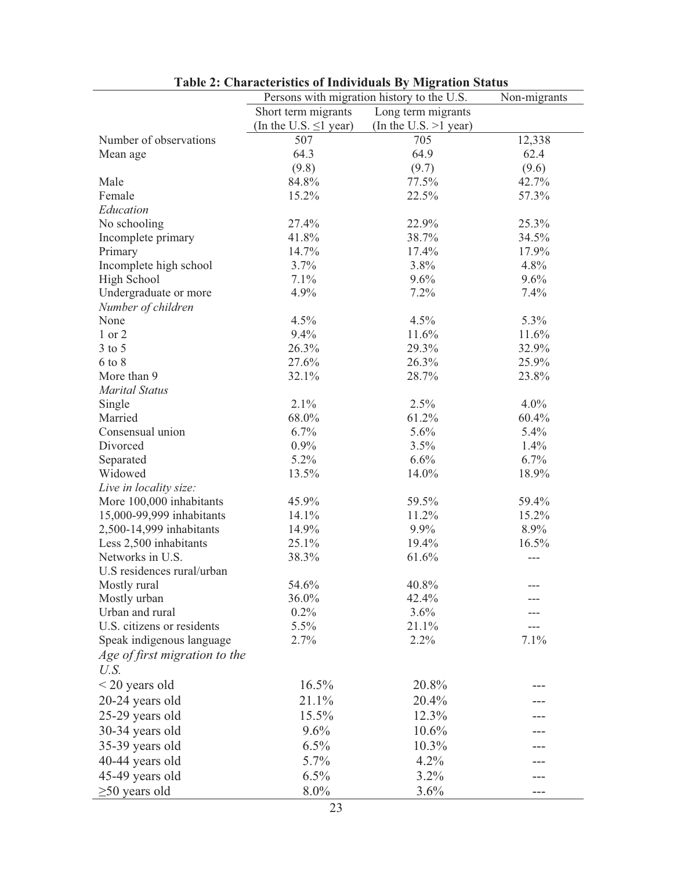|                               |                             | Persons with migration history to the U.S. | Non-migrants |
|-------------------------------|-----------------------------|--------------------------------------------|--------------|
|                               | Short term migrants         | Long term migrants                         |              |
|                               | (In the U.S. $\leq$ 1 year) | (In the U.S. $>1$ year)                    |              |
| Number of observations        | 507                         | 705                                        | 12,338       |
| Mean age                      | 64.3                        | 64.9                                       | 62.4         |
|                               | (9.8)                       | (9.7)                                      | (9.6)        |
| Male                          | 84.8%                       | 77.5%                                      | 42.7%        |
| Female                        | 15.2%                       | 22.5%                                      | 57.3%        |
| Education                     |                             |                                            |              |
| No schooling                  | 27.4%                       | 22.9%                                      | 25.3%        |
| Incomplete primary            | 41.8%                       | 38.7%                                      | 34.5%        |
| Primary                       | 14.7%                       | 17.4%                                      | 17.9%        |
| Incomplete high school        | 3.7%                        | 3.8%                                       | 4.8%         |
| High School                   | 7.1%                        | 9.6%                                       | 9.6%         |
| Undergraduate or more         | 4.9%                        | 7.2%                                       | 7.4%         |
| Number of children            |                             |                                            |              |
| None                          | 4.5%                        | 4.5%                                       | 5.3%         |
| 1 or 2                        | 9.4%                        | 11.6%                                      | 11.6%        |
| $3$ to $5$                    | 26.3%                       | 29.3%                                      | 32.9%        |
| 6 to 8                        | 27.6%                       | 26.3%                                      | 25.9%        |
| More than 9                   | 32.1%                       | 28.7%                                      | 23.8%        |
| <b>Marital Status</b>         |                             |                                            |              |
| Single                        | 2.1%                        | 2.5%                                       | $4.0\%$      |
| Married                       | 68.0%                       | 61.2%                                      | 60.4%        |
| Consensual union              | 6.7%                        | 5.6%                                       | 5.4%         |
| Divorced                      | 0.9%                        | 3.5%                                       | 1.4%         |
| Separated                     | 5.2%                        | 6.6%                                       | 6.7%         |
| Widowed                       | 13.5%                       | 14.0%                                      | 18.9%        |
| Live in locality size:        |                             |                                            |              |
| More 100,000 inhabitants      | 45.9%                       | 59.5%                                      | 59.4%        |
| 15,000-99,999 inhabitants     | 14.1%                       | 11.2%                                      | 15.2%        |
| 2,500-14,999 inhabitants      | 14.9%                       | 9.9%                                       | 8.9%         |
| Less 2,500 inhabitants        | 25.1%                       | 19.4%                                      | 16.5%        |
| Networks in U.S.              | 38.3%                       | 61.6%                                      | ---          |
| U.S residences rural/urban    |                             |                                            |              |
| Mostly rural                  | 54.6%                       | 40.8%                                      |              |
| Mostly urban                  | 36.0%                       | 42.4%                                      |              |
| Urban and rural               | 0.2%                        | 3.6%                                       |              |
| U.S. citizens or residents    | 5.5%                        | 21.1%                                      |              |
| Speak indigenous language     | 2.7%                        | 2.2%                                       | 7.1%         |
| Age of first migration to the |                             |                                            |              |
| U.S.                          |                             |                                            |              |
| $<$ 20 years old              | 16.5%                       | 20.8%                                      |              |
| 20-24 years old               | 21.1%                       | 20.4%                                      |              |
| 25-29 years old               | 15.5%                       | 12.3%                                      |              |
| 30-34 years old               | 9.6%                        | 10.6%                                      |              |
| 35-39 years old               | 6.5%                        | $10.3\%$                                   |              |
| 40-44 years old               | 5.7%                        | 4.2%                                       |              |
|                               |                             |                                            |              |
| 45-49 years old               | 6.5%                        | 3.2%                                       |              |
| $\geq 50$ years old           | 8.0%                        | 3.6%                                       |              |

**Table 2: Characteristics of Individuals By Migration Status**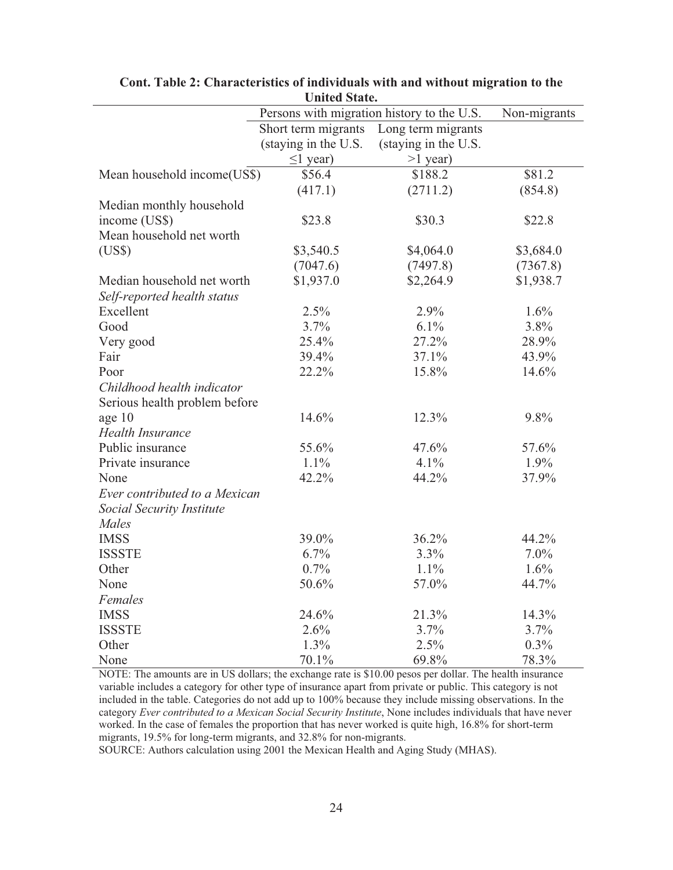|                               | UMIWA BIAW.          |                                            |              |
|-------------------------------|----------------------|--------------------------------------------|--------------|
|                               |                      | Persons with migration history to the U.S. | Non-migrants |
|                               | Short term migrants  | Long term migrants                         |              |
|                               | (staying in the U.S. | (staying in the U.S.                       |              |
|                               | $\leq$ 1 year)       | $>1$ year)                                 |              |
| Mean household income(US\$)   | \$56.4               | \$188.2                                    | \$81.2       |
|                               | (417.1)              | (2711.2)                                   | (854.8)      |
| Median monthly household      |                      |                                            |              |
| income (US\$)                 | \$23.8               | \$30.3                                     | \$22.8       |
| Mean household net worth      |                      |                                            |              |
| (US\$)                        | \$3,540.5            | \$4,064.0                                  | \$3,684.0    |
|                               | (7047.6)             | (7497.8)                                   | (7367.8)     |
| Median household net worth    | \$1,937.0            | \$2,264.9                                  | \$1,938.7    |
| Self-reported health status   |                      |                                            |              |
| Excellent                     | 2.5%                 | 2.9%                                       | 1.6%         |
| Good                          | 3.7%                 | 6.1%                                       | 3.8%         |
| Very good                     | 25.4%                | 27.2%                                      | 28.9%        |
| Fair                          | 39.4%                | 37.1%                                      | 43.9%        |
| Poor                          | 22.2%                | 15.8%                                      | 14.6%        |
| Childhood health indicator    |                      |                                            |              |
| Serious health problem before |                      |                                            |              |
| age 10                        | 14.6%                | 12.3%                                      | 9.8%         |
| <b>Health Insurance</b>       |                      |                                            |              |
| Public insurance              | 55.6%                | 47.6%                                      | 57.6%        |
| Private insurance             | $1.1\%$              | 4.1%                                       | 1.9%         |
| None                          | 42.2%                | 44.2%                                      | 37.9%        |
| Ever contributed to a Mexican |                      |                                            |              |
| Social Security Institute     |                      |                                            |              |
| Males                         |                      |                                            |              |
| <b>IMSS</b>                   | 39.0%                | 36.2%                                      | 44.2%        |
| <b>ISSSTE</b>                 | 6.7%                 | 3.3%                                       | 7.0%         |
| Other                         | 0.7%                 | 1.1%                                       | 1.6%         |
| None                          | 50.6%                | 57.0%                                      | 44.7%        |
| Females                       |                      |                                            |              |
| <b>IMSS</b>                   | 24.6%                | 21.3%                                      | 14.3%        |
| <b>ISSSTE</b>                 | 2.6%                 | 3.7%                                       | 3.7%         |
| Other                         | 1.3%                 | 2.5%                                       | 0.3%         |
| None                          | 70.1%                | 69.8%                                      | 78.3%        |

**Cont. Table 2: Characteristics of individuals with and without migration to the United State.** 

 $\overline{a}$ 

NOTE: The amounts are in US dollars; the exchange rate is \$10.00 pesos per dollar. The health insurance variable includes a category for other type of insurance apart from private or public. This category is not included in the table. Categories do not add up to 100% because they include missing observations. In the category *Ever contributed to a Mexican Social Security Institute*, None includes individuals that have never worked. In the case of females the proportion that has never worked is quite high, 16.8% for short-term migrants, 19.5% for long-term migrants, and 32.8% for non-migrants.

SOURCE: Authors calculation using 2001 the Mexican Health and Aging Study (MHAS).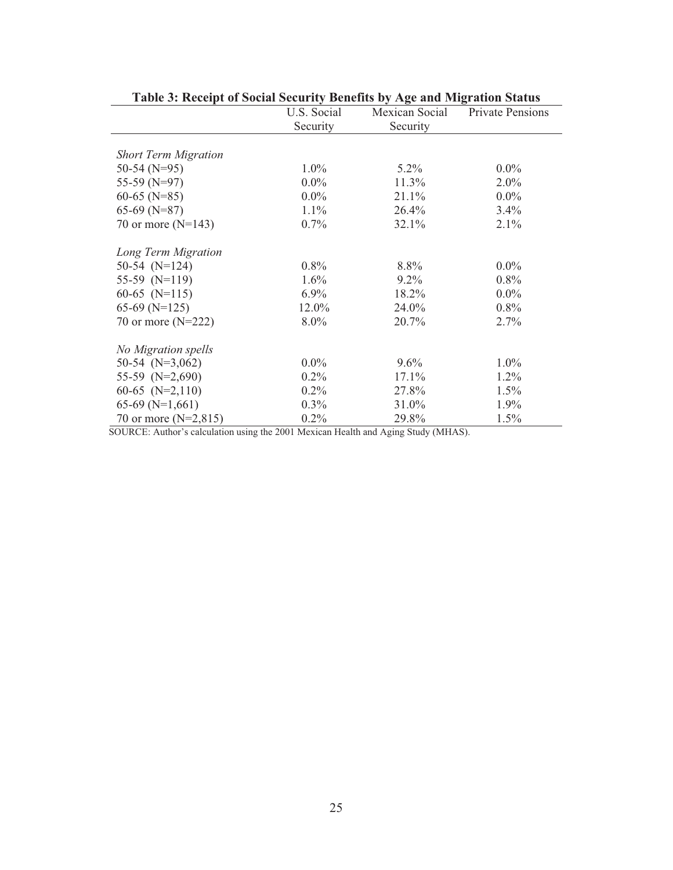|                             | U.S. Social<br>Security | <b>Mexican Social</b><br>Security | Private Pensions |
|-----------------------------|-------------------------|-----------------------------------|------------------|
| <b>Short Term Migration</b> |                         |                                   |                  |
| 50-54 ( $N=95$ )            | $1.0\%$                 | $5.2\%$                           | $0.0\%$          |
| 55-59 (N=97)                | $0.0\%$                 | $11.3\%$                          | $2.0\%$          |
| 60-65 ( $N=85$ )            | $0.0\%$                 | 21.1%                             | $0.0\%$          |
| 65-69 ( $N=87$ )            | $1.1\%$                 | $26.4\%$                          | $3.4\%$          |
| 70 or more $(N=143)$        | $0.7\%$                 | $32.1\%$                          | $2.1\%$          |
| Long Term Migration         |                         |                                   |                  |
| 50-54 $(N=124)$             | $0.8\%$                 | 8.8%                              | $0.0\%$          |
| 55-59 $(N=119)$             | $1.6\%$                 | $9.2\%$                           | $0.8\%$          |
| 60-65 $(N=115)$             | $6.9\%$                 | 18.2%                             | $0.0\%$          |
| 65-69 ( $N=125$ )           | $12.0\%$                | 24.0%                             | $0.8\%$          |
| 70 or more $(N=222)$        | 8.0%                    | 20.7%                             | 2.7%             |
| No Migration spells         |                         |                                   |                  |
| 50-54 $(N=3,062)$           | $0.0\%$                 | $9.6\%$                           | $1.0\%$          |
| 55-59 (N=2,690)             | $0.2\%$                 | 17.1%                             | $1.2\%$          |
| 60-65 $(N=2,110)$           | $0.2\%$                 | 27.8%                             | $1.5\%$          |
| $65-69$ (N=1,661)           | $0.3\%$                 | 31.0%                             | $1.9\%$          |
| 70 or more $(N=2,815)$      | $0.2\%$                 | 29.8%                             | 1.5%             |

| Table 3: Receipt of Social Security Benefits by Age and Migration Status |  |  |
|--------------------------------------------------------------------------|--|--|
|--------------------------------------------------------------------------|--|--|

SOURCE: Author's calculation using the 2001 Mexican Health and Aging Study (MHAS).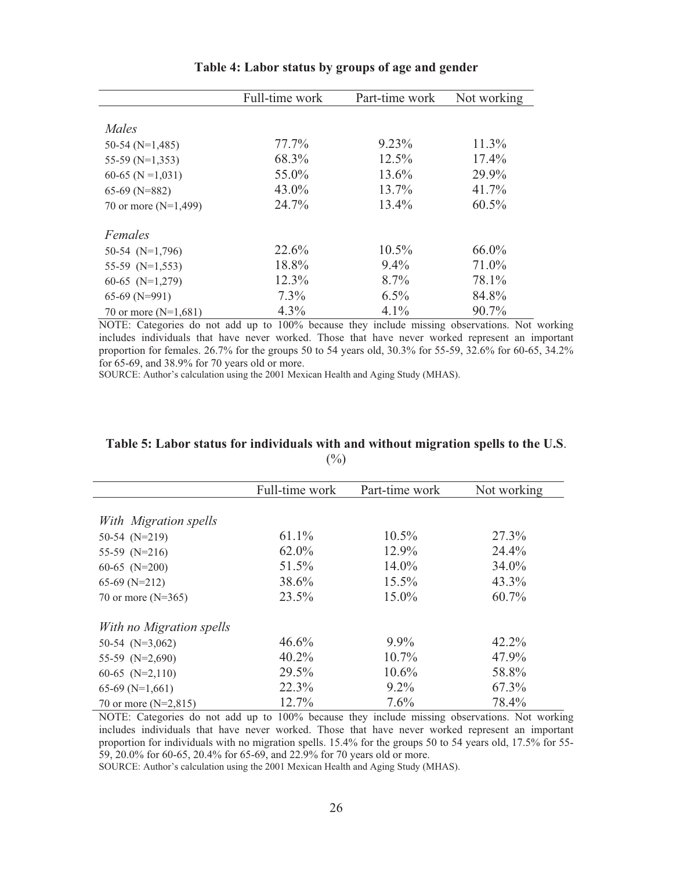|                        | Full-time work | Part-time work | Not working |
|------------------------|----------------|----------------|-------------|
|                        |                |                |             |
| Males                  |                |                |             |
| 50-54 ( $N=1,485$ )    | 77.7%          | $9.23\%$       | 11.3%       |
| 55-59 ( $N=1,353$ )    | 68.3%          | $12.5\%$       | $17.4\%$    |
| 60-65 ( $N = 1,031$ )  | 55.0%          | 13.6%          | 29.9%       |
| $65-69$ (N=882)        | 43.0%          | $13.7\%$       | 41.7%       |
| 70 or more $(N=1,499)$ | 24.7%          | $13.4\%$       | $60.5\%$    |
| Females                |                |                |             |
| 50-54 $(N=1,796)$      | 22.6%          | $10.5\%$       | 66.0%       |
| 55-59 $(N=1,553)$      | 18.8%          | $9.4\%$        | 71.0%       |
| 60-65 ( $N=1,279$ )    | 12.3%          | $8.7\%$        | 78.1%       |
| 65-69 (N=991)          | $7.3\%$        | $6.5\%$        | 84.8%       |
| 70 or more $(N=1,681)$ | $4.3\%$        | $4.1\%$        | 90.7%       |

**Table 4: Labor status by groups of age and gender** 

NOTE: Categories do not add up to 100% because they include missing observations. Not working includes individuals that have never worked. Those that have never worked represent an important proportion for females. 26.7% for the groups 50 to 54 years old, 30.3% for 55-59, 32.6% for 60-65, 34.2% for 65-69, and 38.9% for 70 years old or more.

SOURCE: Author's calculation using the 2001 Mexican Health and Aging Study (MHAS).

#### **Table 5: Labor status for individuals with and without migration spells to the U.S**.  $(\%)$

|                          | Full-time work | Part-time work | Not working |
|--------------------------|----------------|----------------|-------------|
|                          |                |                |             |
| With Migration spells    |                |                |             |
| 50-54 (N=219)            | $61.1\%$       | $10.5\%$       | $27.3\%$    |
| 55-59 (N=216)            | $62.0\%$       | 12.9%          | 24.4%       |
| 60-65 ( $N=200$ )        | 51.5%          | $14.0\%$       | $34.0\%$    |
| 65-69 ( $N=212$ )        | 38.6%          | $15.5\%$       | 43.3%       |
| 70 or more $(N=365)$     | 23.5%          | $15.0\%$       | $60.7\%$    |
| With no Migration spells |                |                |             |
| 50-54 $(N=3,062)$        | $46.6\%$       | $9.9\%$        | $42.2\%$    |
| 55-59 (N=2,690)          | $40.2\%$       | $10.7\%$       | 47.9%       |
| 60-65 $(N=2,110)$        | 29.5%          | $10.6\%$       | 58.8%       |
| $65-69$ (N=1,661)        | 22.3%          | $9.2\%$        | 67.3%       |
| 70 or more $(N=2,815)$   | 12.7%          | 7.6%           | 78.4%       |

NOTE: Categories do not add up to 100% because they include missing observations. Not working includes individuals that have never worked. Those that have never worked represent an important proportion for individuals with no migration spells. 15.4% for the groups 50 to 54 years old, 17.5% for 55- 59, 20.0% for 60-65, 20.4% for 65-69, and 22.9% for 70 years old or more.

SOURCE: Author's calculation using the 2001 Mexican Health and Aging Study (MHAS).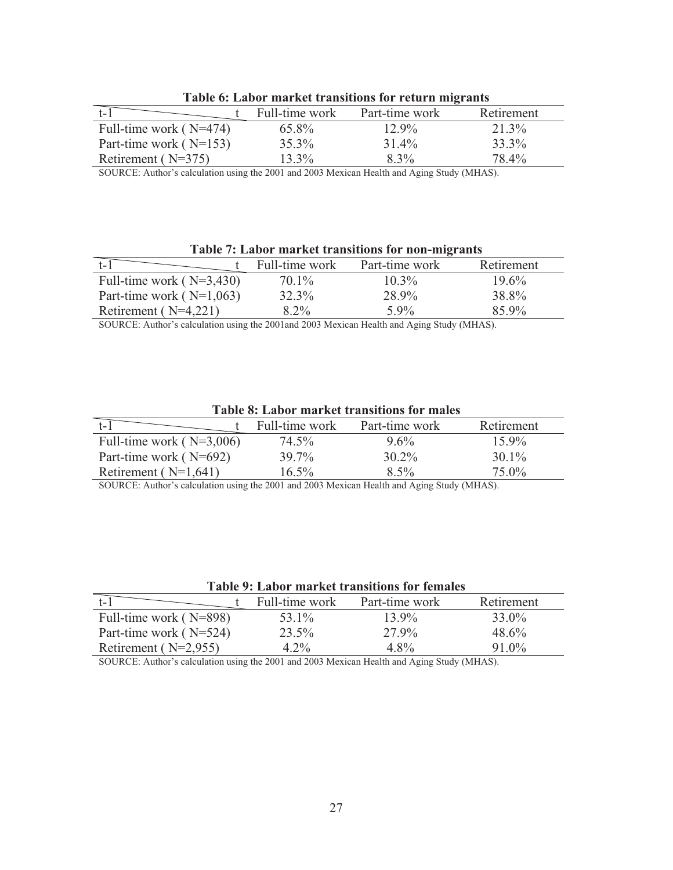|                          | Full-time work | Part-time work | Retirement |
|--------------------------|----------------|----------------|------------|
| Full-time work $(N=474)$ | 65.8%          | $12.9\%$       | 21.3%      |
| Part-time work $(N=153)$ | $35.3\%$       | $31.4\%$       | 33.3%      |
| Retirement $(N=375)$     | $13.3\%$       | $8.3\%$        | 78.4%      |

**Table 6: Labor market transitions for return migrants** 

SOURCE: Author's calculation using the 2001 and 2003 Mexican Health and Aging Study (MHAS).

## **Table 7: Labor market transitions for non-migrants**

|                            | Full-time work | Part-time work | Retirement |
|----------------------------|----------------|----------------|------------|
| Full-time work $(N=3,430)$ | 70.1%          | $10.3\%$       | $19.6\%$   |
| Part-time work $(N=1,063)$ | 32.3%          | 28.9%          | 38.8%      |
| Retirement ( $N=4,221$ )   | $8.2\%$        | $5.9\%$        | $859\%$    |

SOURCE: Author's calculation using the 2001and 2003 Mexican Health and Aging Study (MHAS).

**Table 8: Labor market transitions for males** 

|                            | Full-time work | Part-time work | Retirement |
|----------------------------|----------------|----------------|------------|
| Full-time work $(N=3,006)$ | 74.5%          | $9.6\%$        | $15.9\%$   |
| Part-time work $(N=692)$   | $39.7\%$       | $30.2\%$       | $30.1\%$   |
| Retirement $(N=1,641)$     | $16.5\%$       | $8.5\%$        | 75.0%      |

SOURCE: Author's calculation using the 2001 and 2003 Mexican Health and Aging Study (MHAS).

| Table 9: Labor market transitions for females |  |
|-----------------------------------------------|--|
|-----------------------------------------------|--|

|                          | Full-time work | Part-time work            | Retirement |
|--------------------------|----------------|---------------------------|------------|
| Full-time work $(N=898)$ | 53.1%          | $13.9\%$                  | $33.0\%$   |
| Part-time work $(N=524)$ | 23.5%          | 27.9%                     | 48.6%      |
| Retirement $(N=2,955)$   | $4.2\%$        | $4.8\%$                   | $91.0\%$   |
|                          | -----<br>.     | __ __ _ _ _ _ _ _ _ _ _ _ |            |

SOURCE: Author's calculation using the 2001 and 2003 Mexican Health and Aging Study (MHAS).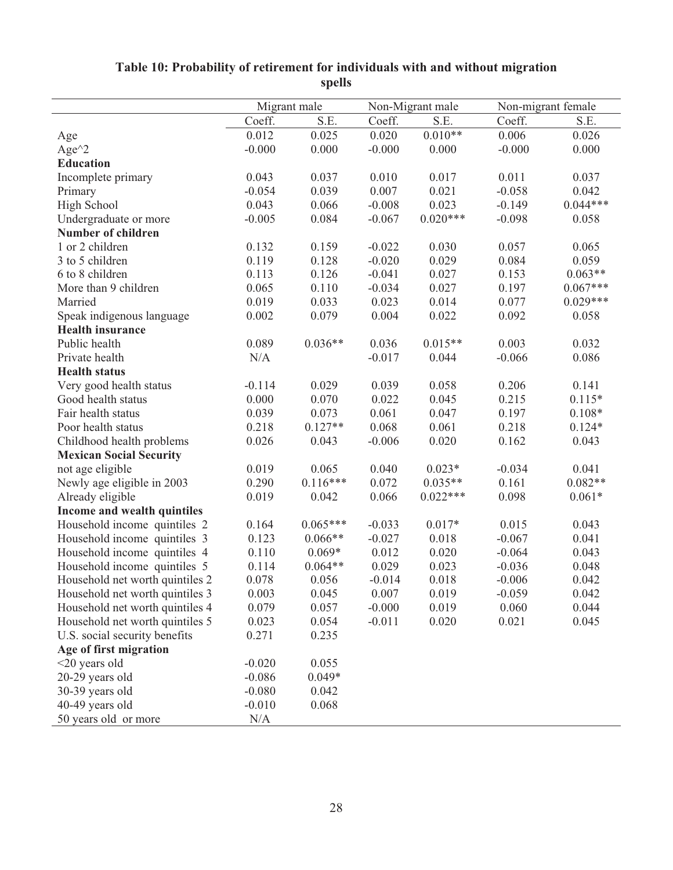|                                 | Migrant male |            | Non-Migrant male |            | Non-migrant female |            |
|---------------------------------|--------------|------------|------------------|------------|--------------------|------------|
|                                 | Coeff.       | S.E.       | Coeff.           | S.E.       | Coeff.             | S.E.       |
| Age                             | 0.012        | 0.025      | 0.020            | $0.010**$  | 0.006              | 0.026      |
| $Age^2$                         | $-0.000$     | 0.000      | $-0.000$         | 0.000      | $-0.000$           | 0.000      |
| <b>Education</b>                |              |            |                  |            |                    |            |
| Incomplete primary              | 0.043        | 0.037      | 0.010            | 0.017      | 0.011              | 0.037      |
| Primary                         | $-0.054$     | 0.039      | 0.007            | 0.021      | $-0.058$           | 0.042      |
| <b>High School</b>              | 0.043        | 0.066      | $-0.008$         | 0.023      | $-0.149$           | $0.044***$ |
| Undergraduate or more           | $-0.005$     | 0.084      | $-0.067$         | $0.020***$ | $-0.098$           | 0.058      |
| <b>Number of children</b>       |              |            |                  |            |                    |            |
| 1 or 2 children                 | 0.132        | 0.159      | $-0.022$         | 0.030      | 0.057              | 0.065      |
| 3 to 5 children                 | 0.119        | 0.128      | $-0.020$         | 0.029      | 0.084              | 0.059      |
| 6 to 8 children                 | 0.113        | 0.126      | $-0.041$         | 0.027      | 0.153              | $0.063**$  |
| More than 9 children            | 0.065        | 0.110      | $-0.034$         | 0.027      | 0.197              | $0.067***$ |
| Married                         | 0.019        | 0.033      | 0.023            | 0.014      | 0.077              | $0.029***$ |
| Speak indigenous language       | 0.002        | 0.079      | 0.004            | 0.022      | 0.092              | 0.058      |
| <b>Health insurance</b>         |              |            |                  |            |                    |            |
| Public health                   | 0.089        | $0.036**$  | 0.036            | $0.015**$  | 0.003              | 0.032      |
| Private health                  | N/A          |            | $-0.017$         | 0.044      | $-0.066$           | 0.086      |
| <b>Health status</b>            |              |            |                  |            |                    |            |
| Very good health status         | $-0.114$     | 0.029      | 0.039            | 0.058      | 0.206              | 0.141      |
| Good health status              | 0.000        | 0.070      | 0.022            | 0.045      | 0.215              | $0.115*$   |
| Fair health status              | 0.039        | 0.073      | 0.061            | 0.047      | 0.197              | $0.108*$   |
| Poor health status              | 0.218        | $0.127**$  | 0.068            | 0.061      | 0.218              | $0.124*$   |
| Childhood health problems       | 0.026        | 0.043      | $-0.006$         | 0.020      | 0.162              | 0.043      |
| <b>Mexican Social Security</b>  |              |            |                  |            |                    |            |
| not age eligible                | 0.019        | 0.065      | 0.040            | $0.023*$   | $-0.034$           | 0.041      |
| Newly age eligible in 2003      | 0.290        | $0.116***$ | 0.072            | $0.035**$  | 0.161              | $0.082**$  |
| Already eligible                | 0.019        | 0.042      | 0.066            | $0.022***$ | 0.098              | $0.061*$   |
| Income and wealth quintiles     |              |            |                  |            |                    |            |
| Household income quintiles 2    | 0.164        | $0.065***$ | $-0.033$         | $0.017*$   | 0.015              | 0.043      |
| Household income quintiles 3    | 0.123        | $0.066**$  | $-0.027$         | 0.018      | $-0.067$           | 0.041      |
| Household income quintiles 4    | 0.110        | $0.069*$   | 0.012            | 0.020      | $-0.064$           | 0.043      |
| Household income quintiles 5    | 0.114        | $0.064**$  | 0.029            | 0.023      | $-0.036$           | 0.048      |
| Household net worth quintiles 2 | 0.078        | 0.056      | $-0.014$         | 0.018      | $-0.006$           | 0.042      |
| Household net worth quintiles 3 | 0.003        | 0.045      | 0.007            | 0.019      | $-0.059$           | 0.042      |
| Household net worth quintiles 4 | 0.079        | 0.057      | $-0.000$         | 0.019      | 0.060              | 0.044      |
| Household net worth quintiles 5 | 0.023        | 0.054      | $-0.011$         | 0.020      | 0.021              | 0.045      |
| U.S. social security benefits   | 0.271        | 0.235      |                  |            |                    |            |
| Age of first migration          |              |            |                  |            |                    |            |
| $<$ 20 years old                | $-0.020$     | 0.055      |                  |            |                    |            |
| 20-29 years old                 | $-0.086$     | $0.049*$   |                  |            |                    |            |
| 30-39 years old                 | $-0.080$     | 0.042      |                  |            |                    |            |
| 40-49 years old                 | $-0.010$     | 0.068      |                  |            |                    |            |
| 50 years old or more            | N/A          |            |                  |            |                    |            |

### **Table 10: Probability of retirement for individuals with and without migration spells**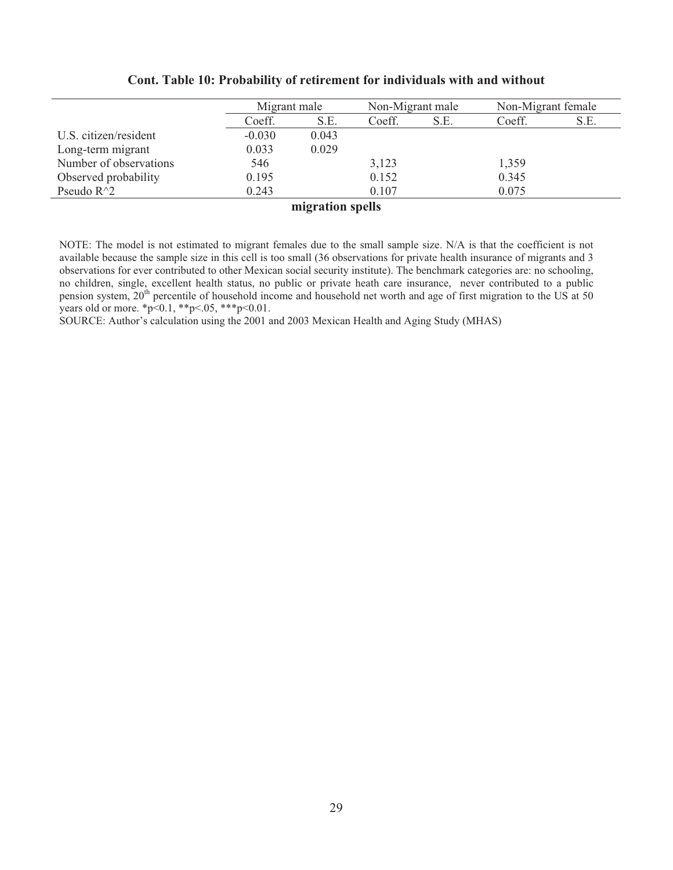|                        | Migrant male |       | Non-Migrant male |      | Non-Migrant female |      |  |  |  |
|------------------------|--------------|-------|------------------|------|--------------------|------|--|--|--|
|                        | Coeff.       | S.E.  | Coeff.           | S.E. | Coeff.             | S.E. |  |  |  |
| U.S. citizen/resident  | $-0.030$     | 0.043 |                  |      |                    |      |  |  |  |
| Long-term migrant      | 0.033        | 0.029 |                  |      |                    |      |  |  |  |
| Number of observations | 546          |       | 3,123            |      | 1,359              |      |  |  |  |
| Observed probability   | 0.195        |       | 0.152            |      | 0.345              |      |  |  |  |
| Pseudo $R^2$           | 0.243        |       | 0.107            |      | 0.075              |      |  |  |  |
| migration spells       |              |       |                  |      |                    |      |  |  |  |

#### **Cont. Table 10: Probability of retirement for individuals with and without**

NOTE: The model is not estimated to migrant females due to the small sample size. N/A is that the coefficient is not available because the sample size in this cell is too small (36 observations for private health insurance of migrants and 3 observations for ever contributed to other Mexican social security institute). The benchmark categories are: no schooling, no children, single, excellent health status, no public or private heath care insurance, never contributed to a public pension system, 20th percentile of household income and household net worth and age of first migration to the US at 50 years old or more. \*p<0.1, \*\*p<.05, \*\*\*p<0.01.

SOURCE: Author's calculation using the 2001 and 2003 Mexican Health and Aging Study (MHAS)

 $\overline{a}$